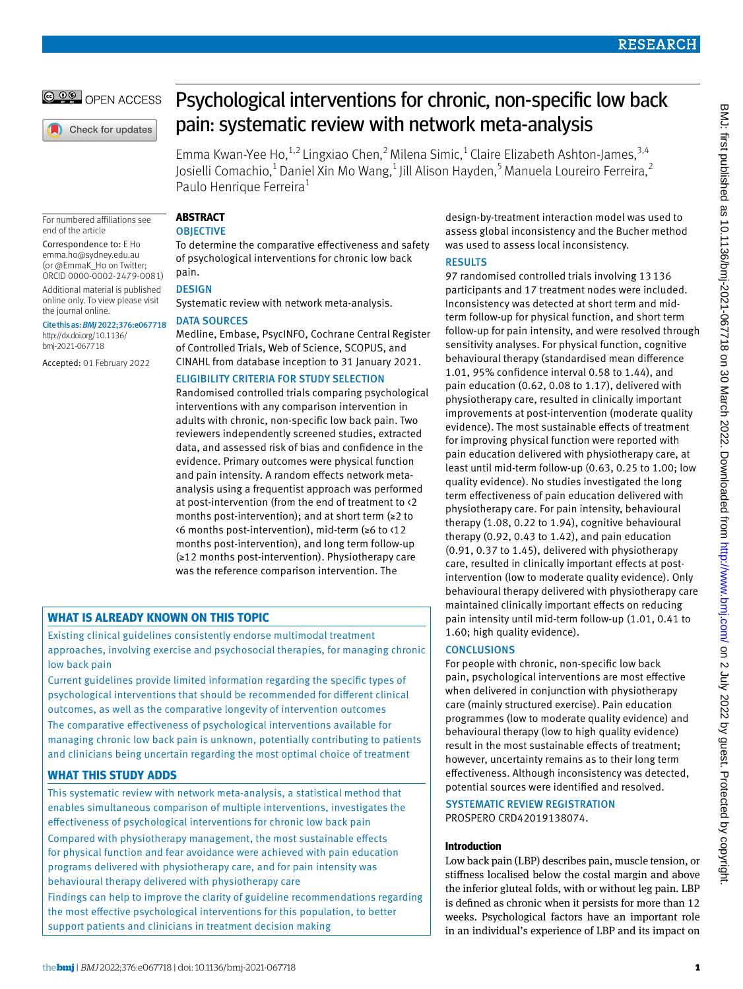© 00 OPEN ACCESS

Check for updates

# Psychological interventions for chronic, non-specific low back pain: systematic review with network meta-analysis

Emma Kwan-Yee Ho,  $^{1,2}$  Lingxiao Chen,  $^2$  Milena Simic,  $^1$  Claire Elizabeth Ashton-James,  $^{3,4}$ Josielli Comachio,<sup>1</sup> Daniel Xin Mo Wang,<sup>1</sup> Jill Alison Hayden,<sup>5</sup> Manuela Loureiro Ferreira,<sup>2</sup> Paulo Henrique Ferreira<sup>1</sup>

For numbered affiliations see end of the article

Correspondence to: E Ho [emma.ho@sydney.edu.au](mailto:emma.ho@sydney.edu.au)  (or [@EmmaK\\_Ho](https://twitter.com/emmak_ho) on Twitter; ORCID [0000-0002-2479-0081](https://orcid.org/0000-0002-2479-0081))

Additional material is published online only. To view please visit the journal online.

Cite this as: *BMJ*2022;376:e067718 [http://dx.doi.org/10.1136/](https://dx.doi.org/10.1136/bmj-2021-067718) [bmj-2021-067718](https://dx.doi.org/10.1136/bmj-2021-067718)

Accepted: 01 February 2022

## **Abstract**

## **OBJECTIVE**

To determine the comparative effectiveness and safety of psychological interventions for chronic low back pain.

## **DESIGN**

Systematic review with network meta-analysis.

## Data sources

Medline, Embase, PsycINFO, Cochrane Central Register of Controlled Trials, Web of Science, SCOPUS, and CINAHL from database inception to 31 January 2021.

## Eligibility criteria for study selection

Randomised controlled trials comparing psychological interventions with any comparison intervention in adults with chronic, non-specific low back pain. Two reviewers independently screened studies, extracted data, and assessed risk of bias and confidence in the evidence. Primary outcomes were physical function and pain intensity. A random effects network metaanalysis using a frequentist approach was performed at post-intervention (from the end of treatment to <2 months post-intervention); and at short term (≥2 to <6 months post-intervention), mid-term (≥6 to <12 months post-intervention), and long term follow-up (≥12 months post-intervention). Physiotherapy care was the reference comparison intervention. The

## **What is already known on this topic**

Existing clinical guidelines consistently endorse multimodal treatment approaches, involving exercise and psychosocial therapies, for managing chronic low back pain

Current guidelines provide limited information regarding the specific types of psychological interventions that should be recommended for different clinical outcomes, as well as the comparative longevity of intervention outcomes

The comparative effectiveness of psychological interventions available for managing chronic low back pain is unknown, potentially contributing to patients and clinicians being uncertain regarding the most optimal choice of treatment

## **What this study adds**

This systematic review with network meta-analysis, a statistical method that enables simultaneous comparison of multiple interventions, investigates the effectiveness of psychological interventions for chronic low back pain

Compared with physiotherapy management, the most sustainable effects for physical function and fear avoidance were achieved with pain education programs delivered with physiotherapy care, and for pain intensity was behavioural therapy delivered with physiotherapy care

Findings can help to improve the clarity of guideline recommendations regarding the most effective psychological interventions for this population, to better support patients and clinicians in treatment decision making

design-by-treatment interaction model was used to assess global inconsistency and the Bucher method was used to assess local inconsistency.

## **RESULTS**

97 randomised controlled trials involving 13136 participants and 17 treatment nodes were included. Inconsistency was detected at short term and midterm follow-up for physical function, and short term follow-up for pain intensity, and were resolved through sensitivity analyses. For physical function, cognitive behavioural therapy (standardised mean difference 1.01, 95% confidence interval 0.58 to 1.44), and pain education (0.62, 0.08 to 1.17), delivered with physiotherapy care, resulted in clinically important improvements at post-intervention (moderate quality evidence). The most sustainable effects of treatment for improving physical function were reported with pain education delivered with physiotherapy care, at least until mid-term follow-up (0.63, 0.25 to 1.00; low quality evidence). No studies investigated the long term effectiveness of pain education delivered with physiotherapy care. For pain intensity, behavioural therapy (1.08, 0.22 to 1.94), cognitive behavioural therapy (0.92, 0.43 to 1.42), and pain education (0.91, 0.37 to 1.45), delivered with physiotherapy care, resulted in clinically important effects at postintervention (low to moderate quality evidence). Only behavioural therapy delivered with physiotherapy care maintained clinically important effects on reducing pain intensity until mid-term follow-up (1.01, 0.41 to 1.60; high quality evidence).

## **CONCLUSIONS**

For people with chronic, non-specific low back pain, psychological interventions are most effective when delivered in conjunction with physiotherapy care (mainly structured exercise). Pain education programmes (low to moderate quality evidence) and behavioural therapy (low to high quality evidence) result in the most sustainable effects of treatment; however, uncertainty remains as to their long term effectiveness. Although inconsistency was detected, potential sources were identified and resolved.

Systematic review registration PROSPERO CRD42019138074.

## **Introduction**

Low back pain (LBP) describes pain, muscle tension, or stiffness localised below the costal margin and above the inferior gluteal folds, with or without leg pain. LBP is defined as chronic when it persists for more than 12 weeks. Psychological factors have an important role in an individual's experience of LBP and its impact on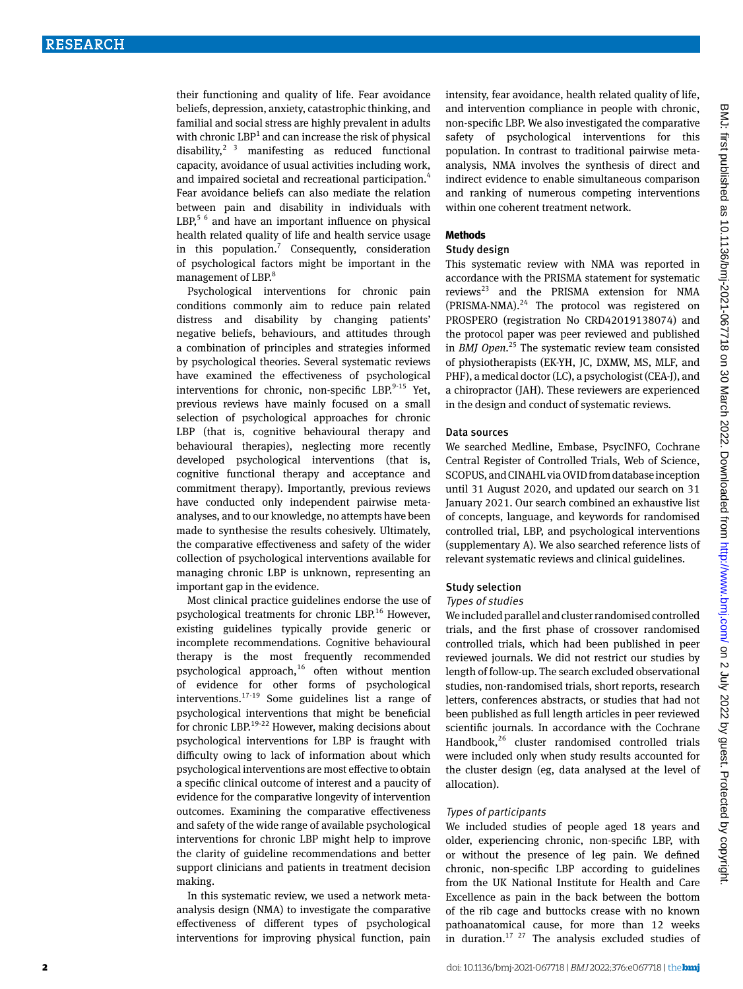their functioning and quality of life. Fear avoidance beliefs, depression, anxiety, catastrophic thinking, and familial and social stress are highly prevalent in adults with chronic  $LBP<sup>1</sup>$  and can increase the risk of physical disability, $2 \times 3$  manifesting as reduced functional capacity, avoidance of usual activities including work, and impaired societal and recreational participation.<sup>4</sup> Fear avoidance beliefs can also mediate the relation between pain and disability in individuals with  $LBP<sup>5.6</sup>$  and have an important influence on physical health related quality of life and health service usage in this population.<sup>7</sup> Consequently, consideration of psychological factors might be important in the management of LBP.<sup>8</sup>

Psychological interventions for chronic pain conditions commonly aim to reduce pain related distress and disability by changing patients' negative beliefs, behaviours, and attitudes through a combination of principles and strategies informed by psychological theories. Several systematic reviews have examined the effectiveness of psychological interventions for chronic, non-specific LBP. $^{9-15}$  Yet, previous reviews have mainly focused on a small selection of psychological approaches for chronic LBP (that is, cognitive behavioural therapy and behavioural therapies), neglecting more recently developed psychological interventions (that is, cognitive functional therapy and acceptance and commitment therapy). Importantly, previous reviews have conducted only independent pairwise metaanalyses, and to our knowledge, no attempts have been made to synthesise the results cohesively. Ultimately, the comparative effectiveness and safety of the wider collection of psychological interventions available for managing chronic LBP is unknown, representing an important gap in the evidence.

Most clinical practice guidelines endorse the use of psychological treatments for chronic LBP.<sup>16</sup> However, existing guidelines typically provide generic or incomplete recommendations. Cognitive behavioural therapy is the most frequently recommended psychological approach, $16$  often without mention of evidence for other forms of psychological interventions.<sup>17-19</sup> Some guidelines list a range of psychological interventions that might be beneficial for chronic LBP. $19-22$  However, making decisions about psychological interventions for LBP is fraught with difficulty owing to lack of information about which psychological interventions are most effective to obtain a specific clinical outcome of interest and a paucity of evidence for the comparative longevity of intervention outcomes. Examining the comparative effectiveness and safety of the wide range of available psychological interventions for chronic LBP might help to improve the clarity of guideline recommendations and better support clinicians and patients in treatment decision making.

In this systematic review, we used a network metaanalysis design (NMA) to investigate the comparative effectiveness of different types of psychological interventions for improving physical function, pain intensity, fear avoidance, health related quality of life, and intervention compliance in people with chronic, non-specific LBP. We also investigated the comparative safety of psychological interventions for this population. In contrast to traditional pairwise metaanalysis, NMA involves the synthesis of direct and indirect evidence to enable simultaneous comparison and ranking of numerous competing interventions within one coherent treatment network.

#### **Methods**

#### Study design

This systematic review with NMA was reported in accordance with the PRISMA statement for systematic  $reviews<sup>23</sup>$  and the PRISMA extension for NMA  $(PRISMA-NMA).<sup>24</sup>$  The protocol was registered on PROSPERO (registration No CRD42019138074) and the protocol paper was peer reviewed and published in *BMJ Open*. 25 The systematic review team consisted of physiotherapists (EK-YH, JC, DXMW, MS, MLF, and PHF), a medical doctor (LC), a psychologist (CEA-J), and a chiropractor (JAH). These reviewers are experienced in the design and conduct of systematic reviews.

#### Data sources

We searched Medline, Embase, PsycINFO, Cochrane Central Register of Controlled Trials, Web of Science, SCOPUS, and CINAHL via OVID from database inception until 31 August 2020, and updated our search on 31 January 2021. Our search combined an exhaustive list of concepts, language, and keywords for randomised controlled trial, LBP, and psychological interventions (supplementary A). We also searched reference lists of relevant systematic reviews and clinical guidelines.

#### Study selection

#### Types of studies

We included parallel and cluster randomised controlled trials, and the first phase of crossover randomised controlled trials, which had been published in peer reviewed journals. We did not restrict our studies by length of follow-up. The search excluded observational studies, non-randomised trials, short reports, research letters, conferences abstracts, or studies that had not been published as full length articles in peer reviewed scientific journals. In accordance with the Cochrane Handbook,<sup>26</sup> cluster randomised controlled trials were included only when study results accounted for the cluster design (eg, data analysed at the level of allocation).

#### Types of participants

We included studies of people aged 18 years and older, experiencing chronic, non-specific LBP, with or without the presence of leg pain. We defined chronic, non-specific LBP according to guidelines from the UK National Institute for Health and Care Excellence as pain in the back between the bottom of the rib cage and buttocks crease with no known pathoanatomical cause, for more than 12 weeks in duration.<sup>17 27</sup> The analysis excluded studies of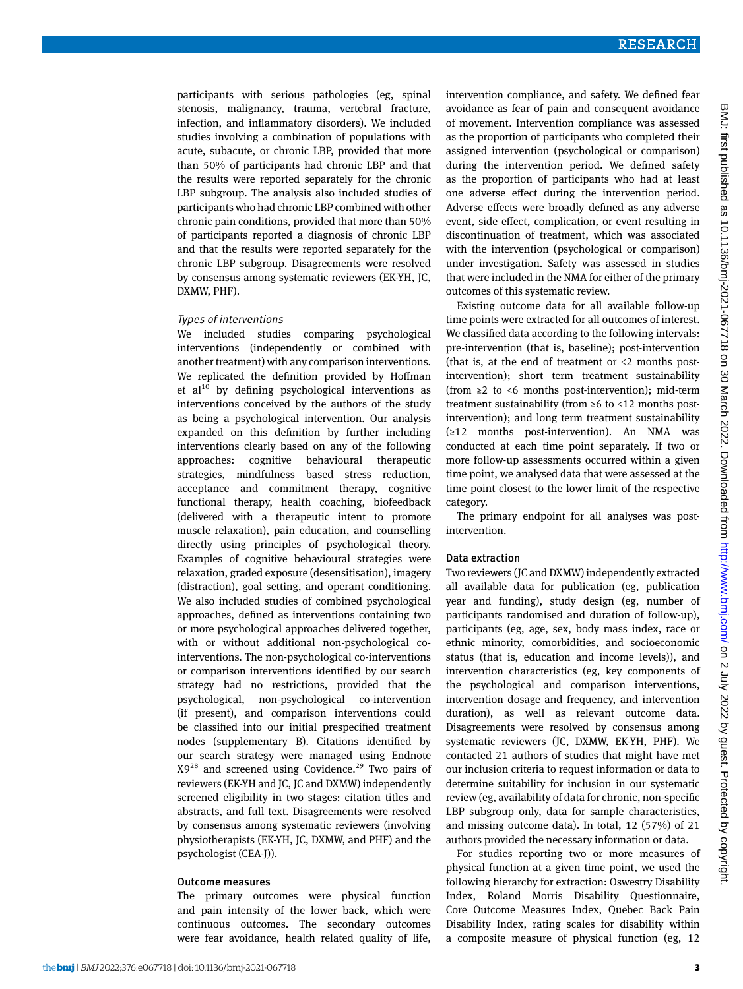participants with serious pathologies (eg, spinal stenosis, malignancy, trauma, vertebral fracture, infection, and inflammatory disorders). We included studies involving a combination of populations with acute, subacute, or chronic LBP, provided that more than 50% of participants had chronic LBP and that the results were reported separately for the chronic LBP subgroup. The analysis also included studies of participants who had chronic LBP combined with other chronic pain conditions, provided that more than 50% of participants reported a diagnosis of chronic LBP and that the results were reported separately for the chronic LBP subgroup. Disagreements were resolved by consensus among systematic reviewers (EK-YH, JC, DXMW, PHF).

#### Types of interventions

We included studies comparing psychological interventions (independently or combined with another treatment) with any comparison interventions. We replicated the definition provided by Hoffman et al $^{10}$  by defining psychological interventions as interventions conceived by the authors of the study as being a psychological intervention. Our analysis expanded on this definition by further including interventions clearly based on any of the following approaches: cognitive behavioural therapeutic strategies, mindfulness based stress reduction, acceptance and commitment therapy, cognitive functional therapy, health coaching, biofeedback (delivered with a therapeutic intent to promote muscle relaxation), pain education, and counselling directly using principles of psychological theory. Examples of cognitive behavioural strategies were relaxation, graded exposure (desensitisation), imagery (distraction), goal setting, and operant conditioning. We also included studies of combined psychological approaches, defined as interventions containing two or more psychological approaches delivered together, with or without additional non-psychological cointerventions. The non-psychological co-interventions or comparison interventions identified by our search strategy had no restrictions, provided that the psychological, non-psychological co-intervention (if present), and comparison interventions could be classified into our initial prespecified treatment nodes (supplementary B). Citations identified by our search strategy were managed using Endnote  $X9^{28}$  and screened using Covidence.<sup>29</sup> Two pairs of reviewers (EK-YH and JC, JC and DXMW) independently screened eligibility in two stages: citation titles and abstracts, and full text. Disagreements were resolved by consensus among systematic reviewers (involving physiotherapists (EK-YH, JC, DXMW, and PHF) and the psychologist (CEA-J)).

#### Outcome measures

The primary outcomes were physical function and pain intensity of the lower back, which were continuous outcomes. The secondary outcomes were fear avoidance, health related quality of life,

intervention compliance, and safety. We defined fear avoidance as fear of pain and consequent avoidance of movement. Intervention compliance was assessed as the proportion of participants who completed their assigned intervention (psychological or comparison) during the intervention period. We defined safety as the proportion of participants who had at least one adverse effect during the intervention period. Adverse effects were broadly defined as any adverse event, side effect, complication, or event resulting in discontinuation of treatment, which was associated with the intervention (psychological or comparison) under investigation. Safety was assessed in studies that were included in the NMA for either of the primary outcomes of this systematic review.

Existing outcome data for all available follow-up time points were extracted for all outcomes of interest. We classified data according to the following intervals: pre-intervention (that is, baseline); post-intervention (that is, at the end of treatment or  $\leq 2$  months postintervention); short term treatment sustainability (from ≥2 to <6 months post-intervention); mid-term treatment sustainability (from ≥6 to <12 months postintervention); and long term treatment sustainability (≥12 months post-intervention). An NMA was conducted at each time point separately. If two or more follow-up assessments occurred within a given time point, we analysed data that were assessed at the time point closest to the lower limit of the respective category.

The primary endpoint for all analyses was postintervention.

#### Data extraction

Two reviewers (JC and DXMW) independently extracted all available data for publication (eg, publication year and funding), study design (eg, number of participants randomised and duration of follow-up), participants (eg, age, sex, body mass index, race or ethnic minority, comorbidities, and socioeconomic status (that is, education and income levels)), and intervention characteristics (eg, key components of the psychological and comparison interventions, intervention dosage and frequency, and intervention duration), as well as relevant outcome data. Disagreements were resolved by consensus among systematic reviewers (JC, DXMW, EK-YH, PHF). We contacted 21 authors of studies that might have met our inclusion criteria to request information or data to determine suitability for inclusion in our systematic review (eg, availability of data for chronic, non-specific LBP subgroup only, data for sample characteristics, and missing outcome data). In total, 12 (57%) of 21 authors provided the necessary information or data.

For studies reporting two or more measures of physical function at a given time point, we used the following hierarchy for extraction: Oswestry Disability Index, Roland Morris Disability Questionnaire, Core Outcome Measures Index, Quebec Back Pain Disability Index, rating scales for disability within a composite measure of physical function (eg, 12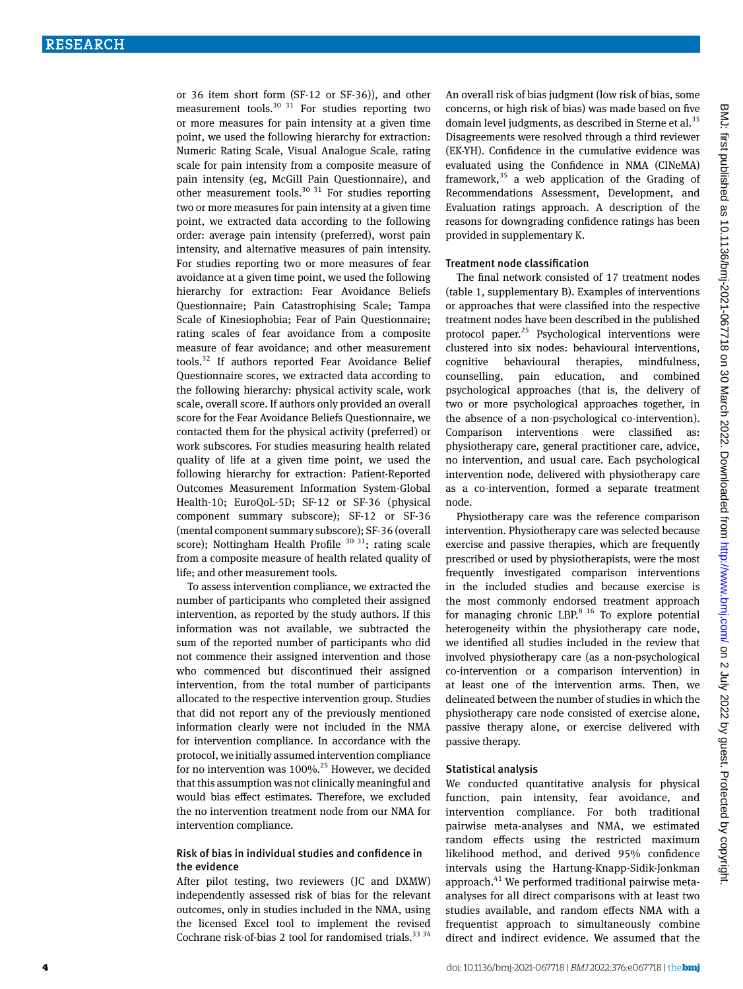or 36 item short form (SF-12 or SF-36)), and other measurement tools.<sup>30 31</sup> For studies reporting two or more measures for pain intensity at a given time point, we used the following hierarchy for extraction: Numeric Rating Scale, Visual Analogue Scale, rating scale for pain intensity from a composite measure of pain intensity (eg, McGill Pain Questionnaire), and other measurement tools.<sup>30 31</sup> For studies reporting two or more measures for pain intensity at a given time point, we extracted data according to the following order: average pain intensity (preferred), worst pain intensity, and alternative measures of pain intensity. For studies reporting two or more measures of fear avoidance at a given time point, we used the following hierarchy for extraction: Fear Avoidance Beliefs Questionnaire; Pain Catastrophising Scale; Tampa Scale of Kinesiophobia; Fear of Pain Questionnaire; rating scales of fear avoidance from a composite measure of fear avoidance; and other measurement tools.32 If authors reported Fear Avoidance Belief Questionnaire scores, we extracted data according to the following hierarchy: physical activity scale, work scale, overall score. If authors only provided an overall score for the Fear Avoidance Beliefs Questionnaire, we contacted them for the physical activity (preferred) or work subscores. For studies measuring health related quality of life at a given time point, we used the following hierarchy for extraction: Patient-Reported Outcomes Measurement Information System-Global Health-10; EuroQoL-5D; SF-12 or SF-36 (physical component summary subscore); SF-12 or SF-36 (mental component summary subscore); SF-36 (overall score); Nottingham Health Profile  $30\,31$ ; rating scale from a composite measure of health related quality of life; and other measurement tools.

To assess intervention compliance, we extracted the number of participants who completed their assigned intervention, as reported by the study authors. If this information was not available, we subtracted the sum of the reported number of participants who did not commence their assigned intervention and those who commenced but discontinued their assigned intervention, from the total number of participants allocated to the respective intervention group. Studies that did not report any of the previously mentioned information clearly were not included in the NMA for intervention compliance. In accordance with the protocol, we initially assumed intervention compliance for no intervention was  $100\%$ .<sup>25</sup> However, we decided that this assumption was not clinically meaningful and would bias effect estimates. Therefore, we excluded the no intervention treatment node from our NMA for intervention compliance.

## Risk of bias in individual studies and confidence in the evidence

After pilot testing, two reviewers (JC and DXMW) independently assessed risk of bias for the relevant outcomes, only in studies included in the NMA, using the licensed Excel tool to implement the revised Cochrane risk-of-bias 2 tool for randomised trials. $33\frac{34}{3}$  An overall risk of bias judgment (low risk of bias, some concerns, or high risk of bias) was made based on five domain level judgments, as described in Sterne et al.<sup>35</sup> Disagreements were resolved through a third reviewer (EK-YH). Confidence in the cumulative evidence was evaluated using the Confidence in NMA (CINeMA) framework,  $35$  a web application of the Grading of Recommendations Assessment, Development, and Evaluation ratings approach. A description of the reasons for downgrading confidence ratings has been provided in supplementary K.

#### Treatment node classification

The final network consisted of 17 treatment nodes (table 1, supplementary B). Examples of interventions or approaches that were classified into the respective treatment nodes have been described in the published protocol paper. $^{25}$  Psychological interventions were clustered into six nodes: behavioural interventions, cognitive behavioural therapies, mindfulness, counselling, pain education, and combined psychological approaches (that is, the delivery of two or more psychological approaches together, in the absence of a non-psychological co-intervention). Comparison interventions were classified as: physiotherapy care, general practitioner care, advice, no intervention, and usual care. Each psychological intervention node, delivered with physiotherapy care as a co-intervention, formed a separate treatment node.

Physiotherapy care was the reference comparison intervention. Physiotherapy care was selected because exercise and passive therapies, which are frequently prescribed or used by physiotherapists, were the most frequently investigated comparison interventions in the included studies and because exercise is the most commonly endorsed treatment approach for managing chronic LBP. $8^{16}$  To explore potential heterogeneity within the physiotherapy care node, we identified all studies included in the review that involved physiotherapy care (as a non-psychological co-intervention or a comparison intervention) in at least one of the intervention arms. Then, we delineated between the number of studies in which the physiotherapy care node consisted of exercise alone, passive therapy alone, or exercise delivered with passive therapy.

#### Statistical analysis

We conducted quantitative analysis for physical function, pain intensity, fear avoidance, and intervention compliance. For both traditional pairwise meta-analyses and NMA, we estimated random effects using the restricted maximum likelihood method, and derived 95% confidence intervals using the Hartung-Knapp-Sidik-Jonkman approach.<sup>41</sup> We performed traditional pairwise metaanalyses for all direct comparisons with at least two studies available, and random effects NMA with a frequentist approach to simultaneously combine direct and indirect evidence. We assumed that the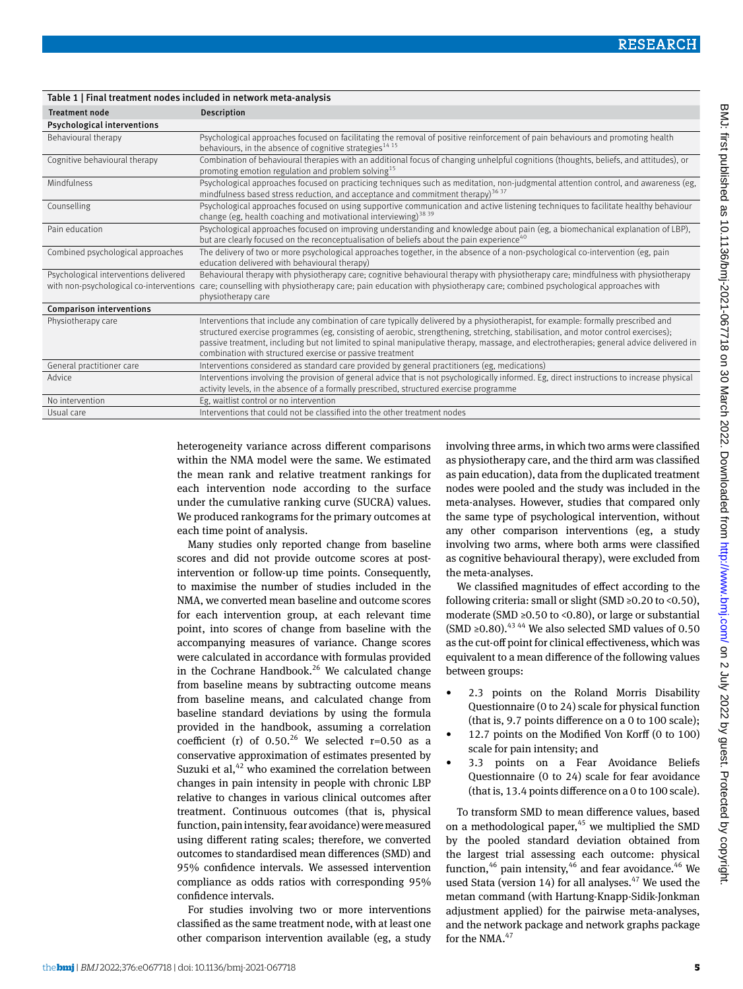| Table 1   Final treatment noues included in network ineta-analysis               |                                                                                                                                                                                                                                                                                                                                                                                                                                                                                 |  |  |  |  |  |
|----------------------------------------------------------------------------------|---------------------------------------------------------------------------------------------------------------------------------------------------------------------------------------------------------------------------------------------------------------------------------------------------------------------------------------------------------------------------------------------------------------------------------------------------------------------------------|--|--|--|--|--|
| <b>Treatment node</b>                                                            | <b>Description</b>                                                                                                                                                                                                                                                                                                                                                                                                                                                              |  |  |  |  |  |
| <b>Psychological interventions</b>                                               |                                                                                                                                                                                                                                                                                                                                                                                                                                                                                 |  |  |  |  |  |
| Behavioural therapy                                                              | Psychological approaches focused on facilitating the removal of positive reinforcement of pain behaviours and promoting health<br>behaviours, in the absence of cognitive strategies <sup>14 15</sup>                                                                                                                                                                                                                                                                           |  |  |  |  |  |
| Cognitive behavioural therapy                                                    | Combination of behavioural therapies with an additional focus of changing unhelpful cognitions (thoughts, beliefs, and attitudes), or<br>promoting emotion regulation and problem solving <sup>15</sup>                                                                                                                                                                                                                                                                         |  |  |  |  |  |
| Mindfulness                                                                      | Psychological approaches focused on practicing techniques such as meditation, non-judgmental attention control, and awareness (eg,<br>mindfulness based stress reduction, and acceptance and commitment therapy) <sup>36.37</sup>                                                                                                                                                                                                                                               |  |  |  |  |  |
| Counselling                                                                      | Psychological approaches focused on using supportive communication and active listening techniques to facilitate healthy behaviour<br>change (eg, health coaching and motivational interviewing) <sup>38 39</sup>                                                                                                                                                                                                                                                               |  |  |  |  |  |
| Pain education                                                                   | Psychological approaches focused on improving understanding and knowledge about pain (eg, a biomechanical explanation of LBP),<br>but are clearly focused on the reconceptualisation of beliefs about the pain experience <sup>40</sup>                                                                                                                                                                                                                                         |  |  |  |  |  |
| Combined psychological approaches                                                | The delivery of two or more psychological approaches together, in the absence of a non-psychological co-intervention (eg, pain<br>education delivered with behavioural therapy)                                                                                                                                                                                                                                                                                                 |  |  |  |  |  |
| Psychological interventions delivered<br>with non-psychological co-interventions | Behavioural therapy with physiotherapy care; cognitive behavioural therapy with physiotherapy care; mindfulness with physiotherapy<br>care; counselling with physiotherapy care; pain education with physiotherapy care; combined psychological approaches with<br>physiotherapy care                                                                                                                                                                                           |  |  |  |  |  |
| <b>Comparison interventions</b>                                                  |                                                                                                                                                                                                                                                                                                                                                                                                                                                                                 |  |  |  |  |  |
| Physiotherapy care                                                               | Interventions that include any combination of care typically delivered by a physiotherapist, for example: formally prescribed and<br>structured exercise programmes (eg, consisting of aerobic, strengthening, stretching, stabilisation, and motor control exercises);<br>passive treatment, including but not limited to spinal manipulative therapy, massage, and electrotherapies; general advice delivered in<br>combination with structured exercise or passive treatment |  |  |  |  |  |
| General practitioner care                                                        | Interventions considered as standard care provided by general practitioners (eg, medications)                                                                                                                                                                                                                                                                                                                                                                                   |  |  |  |  |  |
| Advice                                                                           | Interventions involving the provision of general advice that is not psychologically informed. Eg, direct instructions to increase physical<br>activity levels, in the absence of a formally prescribed, structured exercise programme                                                                                                                                                                                                                                           |  |  |  |  |  |
| No intervention                                                                  | Eg, waitlist control or no intervention                                                                                                                                                                                                                                                                                                                                                                                                                                         |  |  |  |  |  |
| Usual care                                                                       | Interventions that could not be classified into the other treatment nodes                                                                                                                                                                                                                                                                                                                                                                                                       |  |  |  |  |  |

heterogeneity variance across different comparisons within the NMA model were the same. We estimated the mean rank and relative treatment rankings for each intervention node according to the surface under the cumulative ranking curve (SUCRA) values. We produced rankograms for the primary outcomes at each time point of analysis.

 $T_{\rm{m}}$   $T_{\rm{m}}$   $T_{\rm{m}}$  included in network meta-

Many studies only reported change from baseline scores and did not provide outcome scores at postintervention or follow-up time points. Consequently, to maximise the number of studies included in the NMA, we converted mean baseline and outcome scores for each intervention group, at each relevant time point, into scores of change from baseline with the accompanying measures of variance. Change scores were calculated in accordance with formulas provided in the Cochrane Handbook.<sup>26</sup> We calculated change from baseline means by subtracting outcome means from baseline means, and calculated change from baseline standard deviations by using the formula provided in the handbook, assuming a correlation coefficient (r) of 0.50.<sup>26</sup> We selected r=0.50 as a conservative approximation of estimates presented by Suzuki et al, $42$  who examined the correlation between changes in pain intensity in people with chronic LBP relative to changes in various clinical outcomes after treatment. Continuous outcomes (that is, physical function, pain intensity, fear avoidance) were measured using different rating scales; therefore, we converted outcomes to standardised mean differences (SMD) and 95% confidence intervals. We assessed intervention compliance as odds ratios with corresponding 95% confidence intervals.

For studies involving two or more interventions classified as the same treatment node, with at least one other comparison intervention available (eg, a study involving three arms, in which two arms were classified as physiotherapy care, and the third arm was classified as pain education), data from the duplicated treatment nodes were pooled and the study was included in the meta-analyses. However, studies that compared only the same type of psychological intervention, without any other comparison interventions (eg, a study involving two arms, where both arms were classified as cognitive behavioural therapy), were excluded from the meta-analyses.

We classified magnitudes of effect according to the following criteria: small or slight (SMD  $\geq$ 0.20 to <0.50), moderate (SMD ≥0.50 to <0.80), or large or substantial (SMD ≥0.80).<sup>43 44</sup> We also selected SMD values of 0.50 as the cut-off point for clinical effectiveness, which was equivalent to a mean difference of the following values between groups:

- 2.3 points on the Roland Morris Disability Questionnaire (0 to 24) scale for physical function (that is, 9.7 points difference on a 0 to 100 scale);
- 12.7 points on the Modified Von Korff (0 to 100) scale for pain intensity; and
- 3.3 points on a Fear Avoidance Beliefs Questionnaire (0 to 24) scale for fear avoidance (that is, 13.4 points difference on a 0 to 100 scale).

To transform SMD to mean difference values, based on a methodological paper, $45$  we multiplied the SMD by the pooled standard deviation obtained from the largest trial assessing each outcome: physical function, $46$  pain intensity, $46$  and fear avoidance. $46$  We used Stata (version 14) for all analyses. $47$  We used the metan command (with Hartung-Knapp-Sidik-Jonkman adjustment applied) for the pairwise meta-analyses, and the network package and network graphs package for the NMA.<sup>47</sup>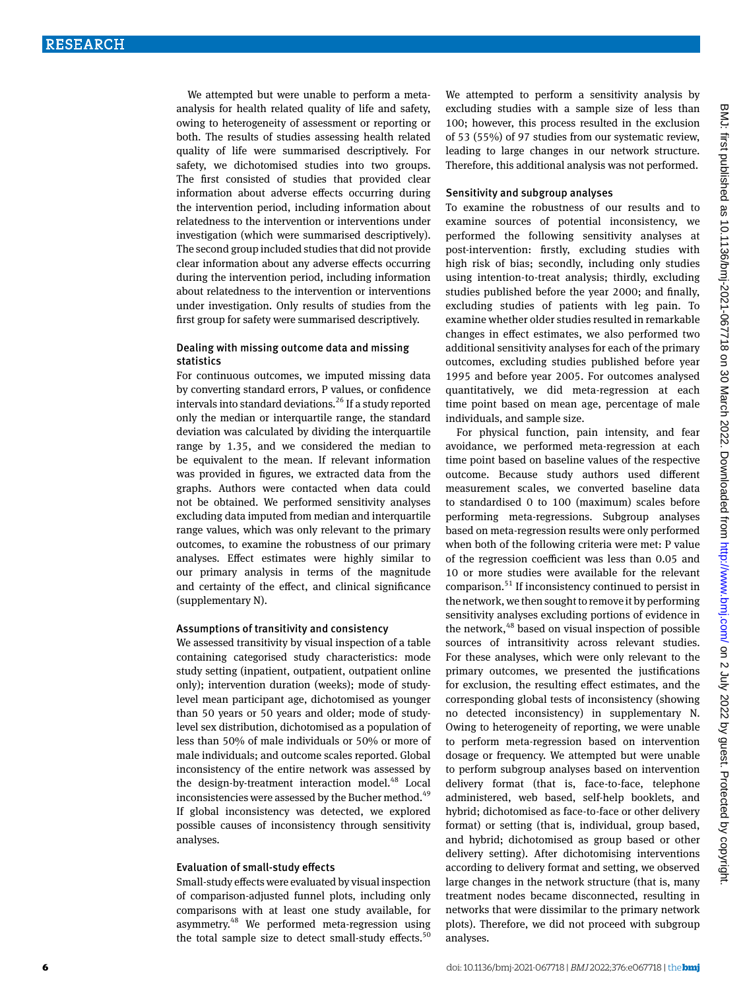We attempted but were unable to perform a metaanalysis for health related quality of life and safety, owing to heterogeneity of assessment or reporting or both. The results of studies assessing health related quality of life were summarised descriptively. For safety, we dichotomised studies into two groups. The first consisted of studies that provided clear information about adverse effects occurring during the intervention period, including information about relatedness to the intervention or interventions under investigation (which were summarised descriptively). The second group included studies that did not provide clear information about any adverse effects occurring during the intervention period, including information about relatedness to the intervention or interventions under investigation. Only results of studies from the first group for safety were summarised descriptively.

#### Dealing with missing outcome data and missing statistics

For continuous outcomes, we imputed missing data by converting standard errors, P values, or confidence intervals into standard deviations.<sup>26</sup> If a study reported only the median or interquartile range, the standard deviation was calculated by dividing the interquartile range by 1.35, and we considered the median to be equivalent to the mean. If relevant information was provided in figures, we extracted data from the graphs. Authors were contacted when data could not be obtained. We performed sensitivity analyses excluding data imputed from median and interquartile range values, which was only relevant to the primary outcomes, to examine the robustness of our primary analyses. Effect estimates were highly similar to our primary analysis in terms of the magnitude and certainty of the effect, and clinical significance (supplementary N).

#### Assumptions of transitivity and consistency

We assessed transitivity by visual inspection of a table containing categorised study characteristics: mode study setting (inpatient, outpatient, outpatient online only); intervention duration (weeks); mode of studylevel mean participant age, dichotomised as younger than 50 years or 50 years and older; mode of studylevel sex distribution, dichotomised as a population of less than 50% of male individuals or 50% or more of male individuals; and outcome scales reported. Global inconsistency of the entire network was assessed by the design-by-treatment interaction model.<sup>48</sup> Local inconsistencies were assessed by the Bucher method.<sup>49</sup> If global inconsistency was detected, we explored possible causes of inconsistency through sensitivity analyses.

#### Evaluation of small-study effects

Small-study effects were evaluated by visual inspection of comparison-adjusted funnel plots, including only comparisons with at least one study available, for asymmetry.48 We performed meta-regression using the total sample size to detect small-study effects.<sup>50</sup>

We attempted to perform a sensitivity analysis by excluding studies with a sample size of less than 100; however, this process resulted in the exclusion of 53 (55%) of 97 studies from our systematic review, leading to large changes in our network structure. Therefore, this additional analysis was not performed.

#### Sensitivity and subgroup analyses

To examine the robustness of our results and to examine sources of potential inconsistency, we performed the following sensitivity analyses at post-intervention: firstly, excluding studies with high risk of bias; secondly, including only studies using intention-to-treat analysis; thirdly, excluding studies published before the year 2000; and finally, excluding studies of patients with leg pain. To examine whether older studies resulted in remarkable changes in effect estimates, we also performed two additional sensitivity analyses for each of the primary outcomes, excluding studies published before year 1995 and before year 2005. For outcomes analysed quantitatively, we did meta-regression at each time point based on mean age, percentage of male individuals, and sample size.

For physical function, pain intensity, and fear avoidance, we performed meta-regression at each time point based on baseline values of the respective outcome. Because study authors used different measurement scales, we converted baseline data to standardised 0 to 100 (maximum) scales before performing meta-regressions. Subgroup analyses based on meta-regression results were only performed when both of the following criteria were met: P value of the regression coefficient was less than 0.05 and 10 or more studies were available for the relevant comparison.51 If inconsistency continued to persist in the network, we then sought to remove it by performing sensitivity analyses excluding portions of evidence in the network,<sup>48</sup> based on visual inspection of possible sources of intransitivity across relevant studies. For these analyses, which were only relevant to the primary outcomes, we presented the justifications for exclusion, the resulting effect estimates, and the corresponding global tests of inconsistency (showing no detected inconsistency) in supplementary N. Owing to heterogeneity of reporting, we were unable to perform meta-regression based on intervention dosage or frequency. We attempted but were unable to perform subgroup analyses based on intervention delivery format (that is, face-to-face, telephone administered, web based, self-help booklets, and hybrid; dichotomised as face-to-face or other delivery format) or setting (that is, individual, group based, and hybrid; dichotomised as group based or other delivery setting). After dichotomising interventions according to delivery format and setting, we observed large changes in the network structure (that is, many treatment nodes became disconnected, resulting in networks that were dissimilar to the primary network plots). Therefore, we did not proceed with subgroup analyses.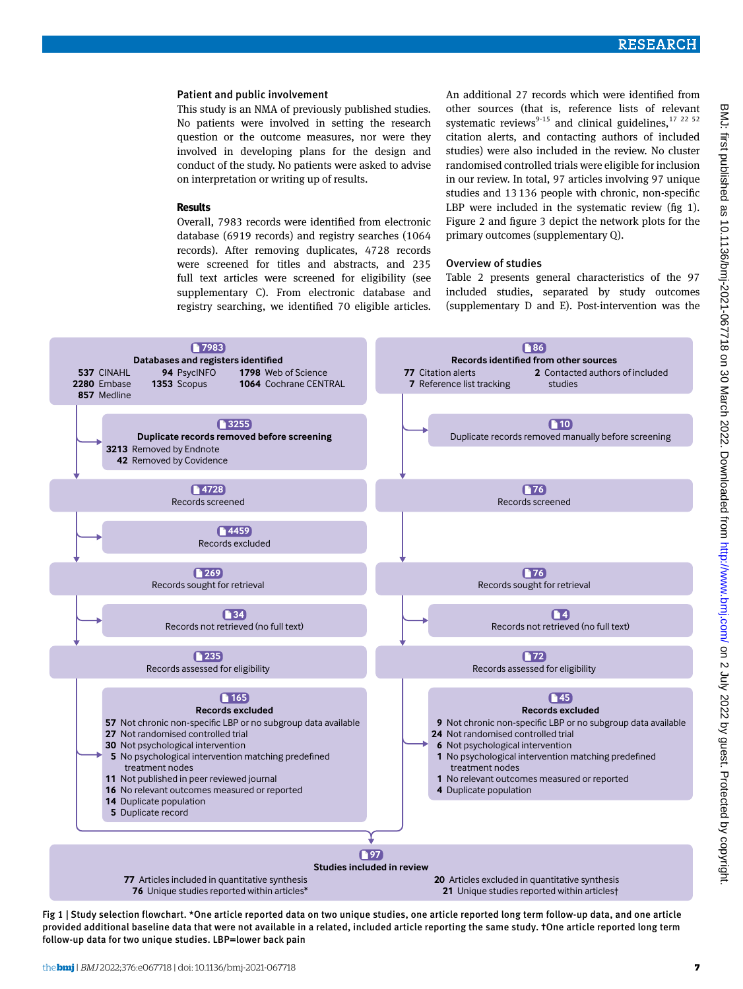#### Patient and public involvement

This study is an NMA of previously published studies. No patients were involved in setting the research question or the outcome measures, nor were they involved in developing plans for the design and conduct of the study. No patients were asked to advise on interpretation or writing up of results.

#### **Results**

Overall, 7983 records were identified from electronic database (6919 records) and registry searches (1064 records). After removing duplicates, 4728 records were screened for titles and abstracts, and 235 full text articles were screened for eligibility (see supplementary C). From electronic database and registry searching, we identified 70 eligible articles.

An additional 27 records which were identified from other sources (that is, reference lists of relevant systematic reviews<sup>9-15</sup> and clinical guidelines,  $17^{22}$   $^{52}$ citation alerts, and contacting authors of included studies) were also included in the review. No cluster randomised controlled trials were eligible for inclusion in our review. In total, 97 articles involving 97 unique studies and 13136 people with chronic, non-specific LBP were included in the systematic review (fig 1). Figure 2 and figure 3 depict the network plots for the primary outcomes (supplementary Q).

#### Overview of studies

Table 2 presents general characteristics of the 97 included studies, separated by study outcomes (supplementary D and E). Post-intervention was the



Fig 1 | Study selection flowchart. \*One article reported data on two unique studies, one article reported long term follow-up data, and one article provided additional baseline data that were not available in a related, included article reporting the same study. †One article reported long term follow-up data for two unique studies. LBP=lower back pain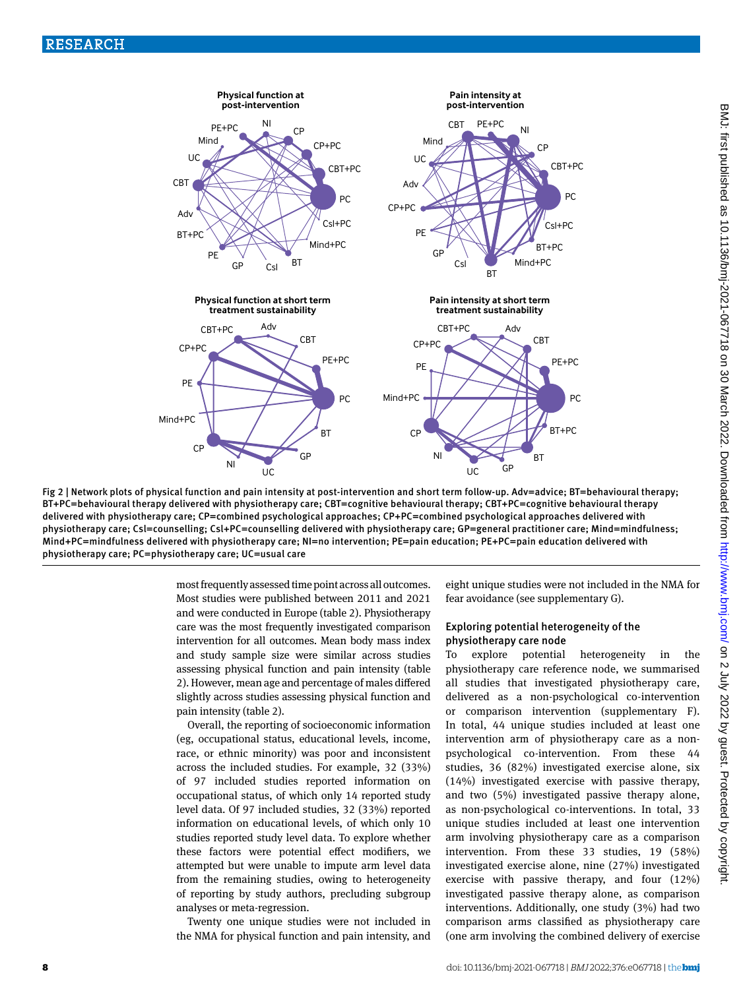

Fig 2 | Network plots of physical function and pain intensity at post-intervention and short term follow-up. Adv=advice; BT=behavioural therapy; BT +PC=behavioural therapy delivered with physiotherapy care; CBT=cognitive behavioural therapy; CBT+PC=cognitive behavioural therapy delivered with physiotherapy care; CP=combined psychological approaches; CP+PC=combined psychological approaches delivered with physiotherapy care; Csl=counselling; Csl+PC=counselling delivered with physiotherapy care; GP=general practitioner care; Mind=mindfulness; Mind+PC=mindfulness delivered with physiotherapy care; NI=no intervention; PE=pain education; PE+PC=pain education delivered with physiotherapy care; PC=physiotherapy care; UC=usual care

most frequently assessed time point across all outcomes. Most studies were published between 2011 and 2021 and were conducted in Europe (table 2). Physiotherapy care was the most frequently investigated comparison intervention for all outcomes. Mean body mass index and study sample size were similar across studies assessing physical function and pain intensity (table 2). However, mean age and percentage of males differed slightly across studies assessing physical function and pain intensity (table 2).

Overall, the reporting of socioeconomic information (eg, occupational status, educational levels, income, race, or ethnic minority) was poor and inconsistent across the included studies. For example, 32 (33%) of 97 included studies reported information on occupational status, of which only 14 reported study level data. Of 97 included studies, 32 (33%) reported information on educational levels, of which only 10 studies reported study level data. To explore whether these factors were potential effect modifiers, we attempted but were unable to impute arm level data from the remaining studies, owing to heterogeneity of reporting by study authors, precluding subgroup analyses or meta-regression.

Twenty one unique studies were not included in the NMA for physical function and pain intensity, and eight unique studies were not included in the NMA for fear avoidance (see supplementary G).

## Exploring potential heterogeneity of the physiotherapy care node

To explore potential heterogeneity in the physiotherapy care reference node, we summarised all studies that investigated physiotherapy care, delivered as a non-psychological co-intervention or comparison intervention (supplementary F). In total, 44 unique studies included at least one intervention arm of physiotherapy care as a nonpsychological co-intervention. From these 44 studies, 36 (82%) investigated exercise alone, six (14%) investigated exercise with passive therapy, and two (5%) investigated passive therapy alone, as non-psychological co-interventions. In total, 33 unique studies included at least one intervention arm involving physiotherapy care as a comparison intervention. From these 33 studies, 19 (58%) investigated exercise alone, nine (27%) investigated exercise with passive therapy, and four (12%) investigated passive therapy alone, as comparison interventions. Additionally, one study (3%) had two comparison arms classified as physiotherapy care (one arm involving the combined delivery of exercise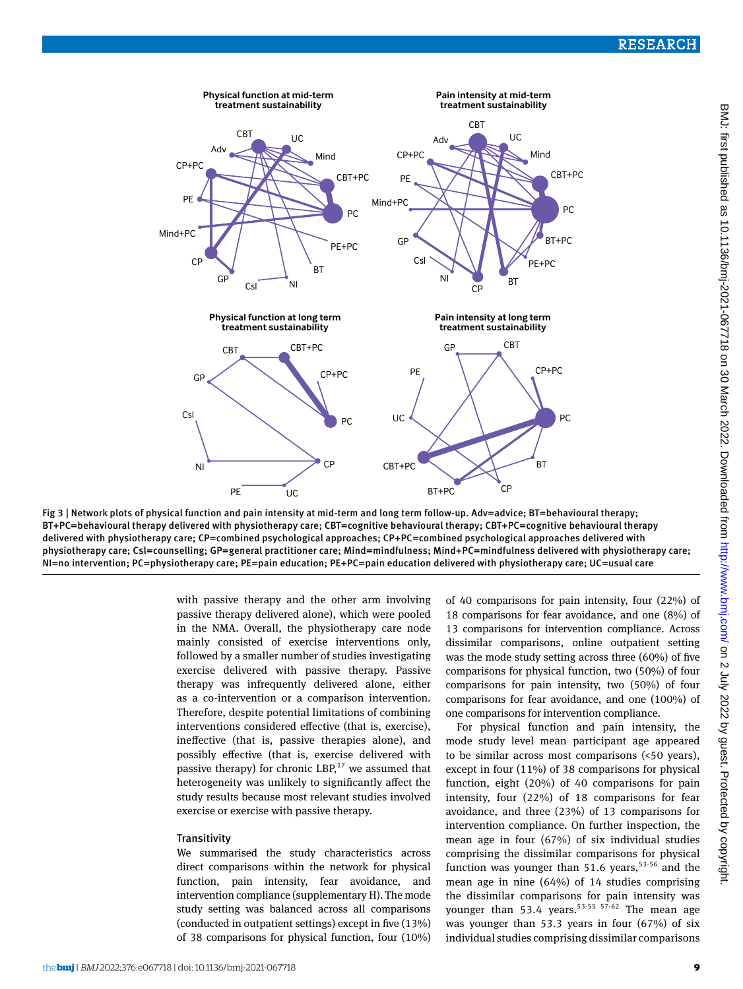

Fig 3 | Network plots of physical function and pain intensity at mid-term and long term follow-up. Adv=advice; BT=behavioural therapy; BT +PC=behavioural therapy delivered with physiotherapy care; CBT=cognitive behavioural therapy; CBT+PC=cognitive behavioural therapy delivered with physiotherapy care; CP=combined psychological approaches; CP+PC=combined psychological approaches delivered with physiotherapy care; Csl=counselling; GP=general practitioner care; Mind=mindfulness; Mind+PC=mindfulness delivered with physiotherapy care; NI=no intervention; PC=physiotherapy care; PE=pain education; PE+PC=pain education delivered with physiotherapy care; UC=usual care

with passive therapy and the other arm involving passive therapy delivered alone), which were pooled in the NMA. Overall, the physiotherapy care node mainly consisted of exercise interventions only, followed by a smaller number of studies investigating exercise delivered with passive therapy. Passive therapy was infrequently delivered alone, either as a co-intervention or a comparison intervention. Therefore, despite potential limitations of combining interventions considered effective (that is, exercise), ineffective (that is, passive therapies alone), and possibly effective (that is, exercise delivered with passive therapy) for chronic LBP, $^{17}$  we assumed that heterogeneity was unlikely to significantly affect the study results because most relevant studies involved exercise or exercise with passive therapy.

#### **Transitivity**

We summarised the study characteristics across direct comparisons within the network for physical function, pain intensity, fear avoidance, and intervention compliance (supplementary H). The mode study setting was balanced across all comparisons (conducted in outpatient settings) except in five (13%) of 38 comparisons for physical function, four (10%) of 40 comparisons for pain intensity, four (22%) of 18 comparisons for fear avoidance, and one (8%) of 13 comparisons for intervention compliance. Across dissimilar comparisons, online outpatient setting was the mode study setting across three (60%) of five comparisons for physical function, two (50%) of four comparisons for pain intensity, two (50%) of four comparisons for fear avoidance, and one (100%) of one comparisons for intervention compliance.

For physical function and pain intensity, the mode study level mean participant age appeared to be similar across most comparisons (<50 years), except in four (11%) of 38 comparisons for physical function, eight (20%) of 40 comparisons for pain intensity, four (22%) of 18 comparisons for fear avoidance, and three (23%) of 13 comparisons for intervention compliance. On further inspection, the mean age in four (67%) of six individual studies comprising the dissimilar comparisons for physical function was younger than 51.6 years,  $53-56$  and the mean age in nine (64%) of 14 studies comprising the dissimilar comparisons for pain intensity was younger than 53.4 years.<sup>53-55 57-62</sup> The mean age was younger than 53.3 years in four (67%) of six individual studies comprising dissimilar comparisons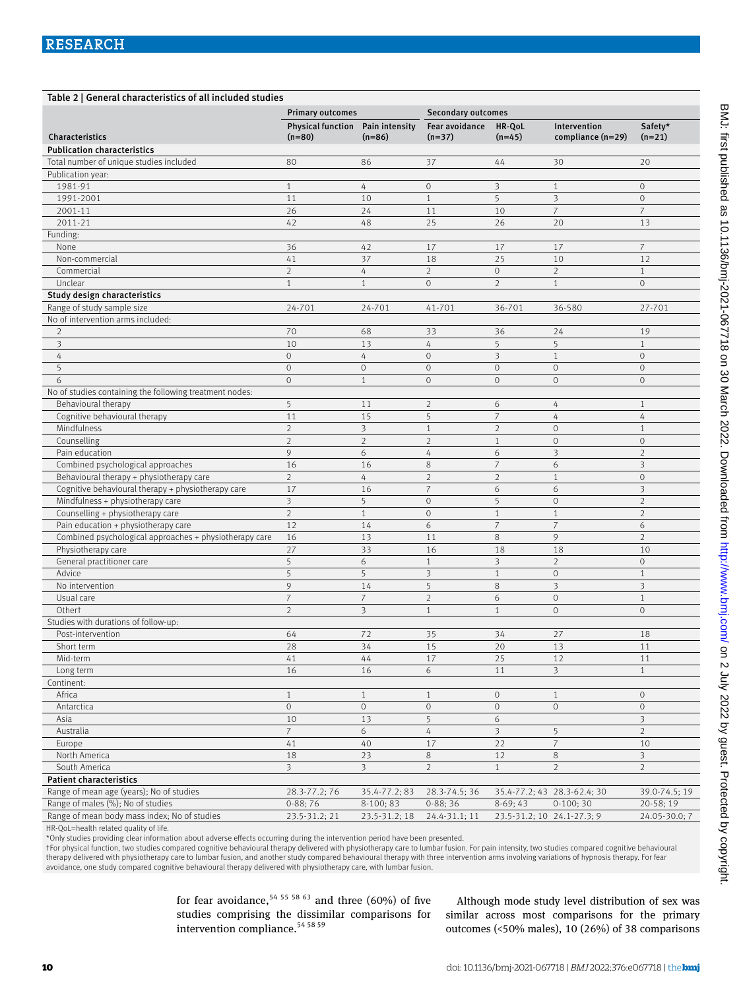| Table 2   General characteristics of all included studies |                                  |                         |                           |                            |                             |                         |  |  |
|-----------------------------------------------------------|----------------------------------|-------------------------|---------------------------|----------------------------|-----------------------------|-------------------------|--|--|
|                                                           | <b>Primary outcomes</b>          |                         | <b>Secondary outcomes</b> |                            |                             |                         |  |  |
|                                                           | Physical function Pain intensity |                         | Fear avoidance            | HR-QoL                     | Intervention                | Safety*                 |  |  |
| Characteristics                                           | $(n=80)$                         | $(n=86)$                | $(n=37)$                  | $(n=45)$                   | compliance (n=29)           | $(n=21)$                |  |  |
| <b>Publication characteristics</b>                        |                                  |                         |                           |                            |                             |                         |  |  |
| Total number of unique studies included                   | 80                               | 86                      | 37                        | 44                         | 30                          | 20                      |  |  |
| Publication year:                                         |                                  |                         |                           |                            |                             |                         |  |  |
| 1981-91                                                   | $\mathbf{1}$                     | 4                       | $\circ$                   | 3                          | $\mathbf{1}$                | $\circ$                 |  |  |
| 1991-2001                                                 | 11                               | 10                      | $\mathbf{1}$              | 5                          | 3                           | $\mathbf 0$             |  |  |
| 2001-11                                                   | 26                               | 24                      | 11                        | 10                         | $\overline{7}$              | $\overline{7}$          |  |  |
| 2011-21                                                   | 42                               | 48                      | 25                        | 26                         | 20                          | 13                      |  |  |
| Funding:                                                  |                                  |                         |                           |                            |                             |                         |  |  |
| None                                                      | 36                               | 42                      | 17                        | 17                         | 17                          | 7                       |  |  |
| Non-commercial                                            | 41                               | 37                      | 18                        | 25                         | 10                          | 12                      |  |  |
| Commercial                                                | $\overline{2}$                   | $\overline{4}$          | $\overline{2}$            | $\circ$                    | $\overline{2}$              | $\mathbf{1}$            |  |  |
| Unclear                                                   | $\mathbf{1}$                     | $\mathbf{1}$            | $\mathbf{O}$              | $\overline{2}$             | $\mathbf{1}$                | $\mathbf 0$             |  |  |
| Study design characteristics                              |                                  |                         |                           |                            |                             |                         |  |  |
| Range of study sample size                                | 24-701                           | 24-701                  | 41-701                    | 36-701                     | 36-580                      | 27-701                  |  |  |
| No of intervention arms included:                         |                                  |                         |                           |                            |                             |                         |  |  |
| 2                                                         | 70                               | 68                      | 33                        | 36                         | 24                          | 19                      |  |  |
| 3                                                         | 10                               | 13                      | 4                         | 5                          | 5                           | $\mathbf{1}$            |  |  |
| 4                                                         | $\circ$                          | 4                       | $\mathbf 0$               | 3                          | $\,1\,$                     | $\mathbf 0$             |  |  |
| 5                                                         | $\circ$                          | $\mathbf 0$             | $\circ$                   | $\mathbf 0$                | $\circ$                     | $\mathbf 0$             |  |  |
| 6                                                         | $\overline{O}$                   | $\mathbf{1}$            | $\circ$                   | $\mathbf 0$                | $\circ$                     | $\mathbf 0$             |  |  |
| No of studies containing the following treatment nodes:   |                                  |                         |                           |                            |                             |                         |  |  |
| Behavioural therapy                                       | 5                                | 11                      | $\overline{2}$            | 6                          | $\sqrt{4}$                  | $\mathbf{1}$            |  |  |
| Cognitive behavioural therapy                             | 11                               | 15                      | 5                         | $\overline{7}$             | 4                           | $\overline{4}$          |  |  |
| Mindfulness                                               | $\overline{2}$                   | $\overline{\mathbf{3}}$ | $\mathbf{1}$              | $\overline{2}$             | $\circ$                     | $\mathbf{1}$            |  |  |
| Counselling                                               | $\overline{2}$                   | $\overline{2}$          | $\overline{2}$            | $\mathbf{1}$               | $\mathbf 0$                 | $\circ$                 |  |  |
| Pain education                                            | 9                                | 6                       | 4                         | 6                          | 3                           | $\overline{2}$          |  |  |
| Combined psychological approaches                         | 16                               | 16                      | 8                         | $\overline{7}$             | 6                           | 3                       |  |  |
| Behavioural therapy + physiotherapy care                  | $\overline{2}$                   | 4                       | $\overline{2}$            | $\overline{2}$             | $\mathbf{1}$                | $\mathbf 0$             |  |  |
| Cognitive behavioural therapy + physiotherapy care        | 17                               | 16                      | $\overline{7}$            | 6                          | 6                           | $\overline{\mathbf{3}}$ |  |  |
| Mindfulness + physiotherapy care                          | $\overline{3}$                   | 5                       | $\circ$                   | 5                          | $\mathbf 0$                 | $\overline{2}$          |  |  |
| Counselling + physiotherapy care                          | $\overline{2}$                   | $\mathbf{1}$            | $\circ$                   | $\mathbf{1}$               | $\mathbf{1}$                | $\overline{2}$          |  |  |
| Pain education + physiotherapy care                       | 12                               | 14                      | 6                         | $\overline{7}$             | $\overline{7}$              | 6                       |  |  |
| Combined psychological approaches + physiotherapy care    | 16                               | 13                      | 11                        | 8                          | 9                           | $\overline{2}$          |  |  |
| Physiotherapy care                                        | 27                               | 33                      | 16                        | 18                         | 18                          | 10                      |  |  |
| General practitioner care                                 | 5                                | 6                       | $\mathbf{1}$              | $\overline{\mathbf{3}}$    | $\overline{2}$              | $\circ$                 |  |  |
| Advice                                                    | 5                                | 5                       | 3                         | $\mathbf{1}$               | $\circ$                     | $\mathbf{1}$            |  |  |
| No intervention                                           | 9                                | 14                      | 5                         | 8                          | $\overline{\mathbf{3}}$     | $\overline{\mathbf{3}}$ |  |  |
| Usual care                                                | $\overline{7}$                   | $\overline{7}$          | $\overline{2}$            | 6                          | $\circ$                     | $\mathbf{1}$            |  |  |
| Othert                                                    | $\overline{2}$                   | 3                       | $\mathbf{1}$              | $\mathbf{1}$               | $\circ$                     | $\mathbf 0$             |  |  |
| Studies with durations of follow-up:                      |                                  |                         |                           |                            |                             |                         |  |  |
| Post-intervention                                         | 64                               | 72                      | 35                        | 34                         | 27                          | 18                      |  |  |
| Short term                                                | 28                               | 34                      | 15                        | 20                         | 13                          | 11                      |  |  |
| Mid-term                                                  | 41                               | 44                      | 17                        | 25                         | 12                          | 11                      |  |  |
| Long term                                                 | 16                               | 16                      | 6                         | 11                         | $\overline{\mathbf{3}}$     | $\mathbf{1}$            |  |  |
| Continent:                                                |                                  |                         |                           | $\circ$                    |                             |                         |  |  |
| Africa                                                    | $\mathbf{1}$                     | $\mathbf{1}$            | $\mathbf{1}$              |                            | $\mathbf{1}$                | $\circ$                 |  |  |
| Antarctica                                                | $\mathbf 0$                      | $\mathbf 0$             | $\circ$                   | $\mathbf 0$                | $\circ$                     | $\circ$                 |  |  |
| Asia                                                      | 10                               | 13                      | 5                         | 6                          |                             | $\overline{\mathbf{3}}$ |  |  |
| Australia                                                 | $\overline{7}$                   | 6                       | $\sqrt{4}$                | 3                          | 5                           | $\overline{2}$          |  |  |
| Europe                                                    | 41                               | 40                      | 17                        | 22                         | $\overline{7}$              | 10                      |  |  |
| North America                                             | 18                               | 23                      | $\,8\,$                   | 12                         | $\,8\,$                     | $\overline{\mathbf{3}}$ |  |  |
| South America                                             | $\overline{3}$                   | 3                       | $\overline{2}$            | $\mathbf{1}$               | $\overline{2}$              | $\overline{2}$          |  |  |
| <b>Patient characteristics</b>                            |                                  |                         |                           |                            |                             |                         |  |  |
| Range of mean age (years); No of studies                  | 28.3-77.2;76                     | 35.4-77.2; 83           | 28.3-74.5; 36             |                            | 35.4-77.2; 43 28.3-62.4; 30 | 39.0-74.5; 19           |  |  |
| Range of males (%); No of studies                         | $0-88;76$                        | 8-100; 83               | $0-88;36$                 | $8-69;43$                  | $0-100;30$                  | 20-58; 19               |  |  |
| Range of mean body mass index; No of studies              | 23.5-31.2; 21                    | 23.5-31.2; 18           | 24.4-31.1; 11             | 23.5-31.2; 10 24.1-27.3; 9 |                             | 24.05-30.0; 7           |  |  |

HR-QoL=health related quality of life.

\*Only studies providing clear information about adverse effects occurring during the intervention period have been presented.

†For physical function, two studies compared cognitive behavioural therapy delivered with physiotherapy care to lumbar fusion. For pain intensity, two studies compared cognitive behavioural therapy delivered with physiotherapy care to lumbar fusion, and another study compared behavioural therapy with three intervention arms involving variations of hypnosis therapy. For fear avoidance, one study compared cognitive behavioural therapy delivered with physiotherapy care, with lumbar fusion.

> for fear avoidance,  $54$  55 58 63 and three (60%) of five studies comprising the dissimilar comparisons for intervention compliance.54 58 59

Although mode study level distribution of sex was similar across most comparisons for the primary outcomes (<50% males), 10 (26%) of 38 comparisons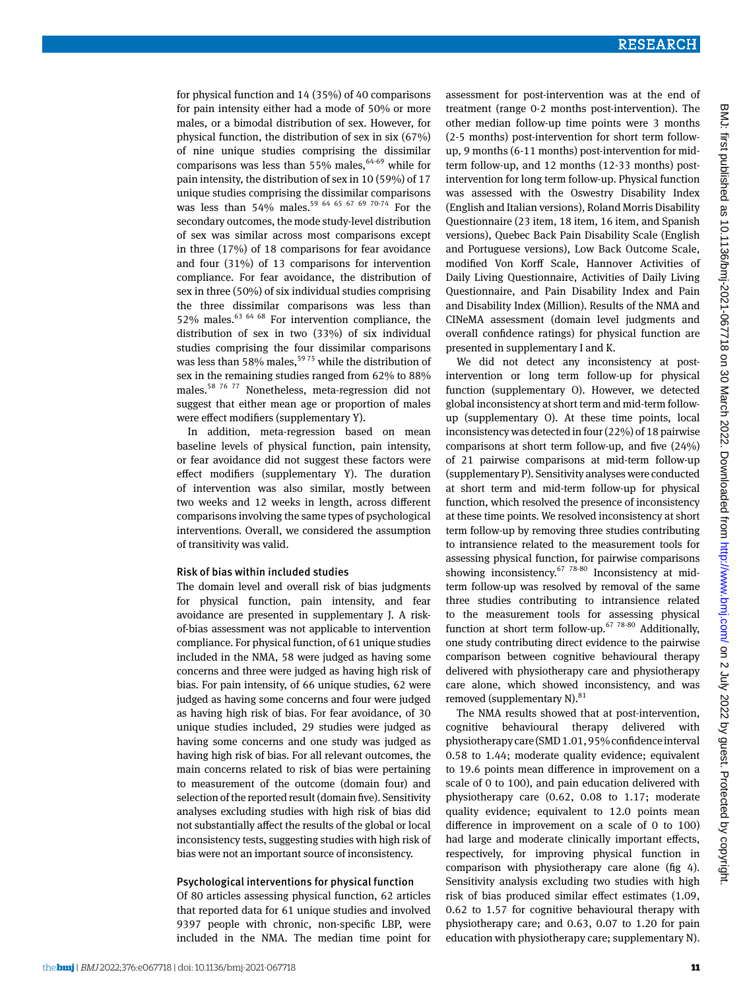for physical function and 14 (35%) of 40 comparisons for pain intensity either had a mode of 50% or more males, or a bimodal distribution of sex. However, for physical function, the distribution of sex in six (67%) of nine unique studies comprising the dissimilar comparisons was less than 55% males,  $64-69$  while for pain intensity, the distribution of sex in 10 (59%) of 17 unique studies comprising the dissimilar comparisons was less than 54% males.<sup>59 64 65 67 69 70-74</sup> For the secondary outcomes, the mode study-level distribution of sex was similar across most comparisons except in three (17%) of 18 comparisons for fear avoidance and four (31%) of 13 comparisons for intervention compliance. For fear avoidance, the distribution of sex in three (50%) of six individual studies comprising the three dissimilar comparisons was less than 52% males. $^{63}$   $^{64}$   $^{68}$  For intervention compliance, the distribution of sex in two (33%) of six individual studies comprising the four dissimilar comparisons was less than 58% males,<sup>5975</sup> while the distribution of sex in the remaining studies ranged from 62% to 88% males.58 76 77 Nonetheless, meta-regression did not suggest that either mean age or proportion of males were effect modifiers (supplementary Y).

In addition, meta-regression based on mean baseline levels of physical function, pain intensity, or fear avoidance did not suggest these factors were effect modifiers (supplementary Y). The duration of intervention was also similar, mostly between two weeks and 12 weeks in length, across different comparisons involving the same types of psychological interventions. Overall, we considered the assumption of transitivity was valid.

#### Risk of bias within included studies

The domain level and overall risk of bias judgments for physical function, pain intensity, and fear avoidance are presented in supplementary J. A riskof-bias assessment was not applicable to intervention compliance. For physical function, of 61 unique studies included in the NMA, 58 were judged as having some concerns and three were judged as having high risk of bias. For pain intensity, of 66 unique studies, 62 were judged as having some concerns and four were judged as having high risk of bias. For fear avoidance, of 30 unique studies included, 29 studies were judged as having some concerns and one study was judged as having high risk of bias. For all relevant outcomes, the main concerns related to risk of bias were pertaining to measurement of the outcome (domain four) and selection of the reported result (domain five). Sensitivity analyses excluding studies with high risk of bias did not substantially affect the results of the global or local inconsistency tests, suggesting studies with high risk of bias were not an important source of inconsistency.

#### Psychological interventions for physical function

Of 80 articles assessing physical function, 62 articles that reported data for 61 unique studies and involved 9397 people with chronic, non-specific LBP, were included in the NMA. The median time point for assessment for post-intervention was at the end of treatment (range 0-2 months post-intervention). The other median follow-up time points were 3 months (2-5 months) post-intervention for short term followup, 9 months (6-11 months) post-intervention for midterm follow-up, and 12 months (12-33 months) postintervention for long term follow-up. Physical function was assessed with the Oswestry Disability Index (English and Italian versions), Roland Morris Disability Questionnaire (23 item, 18 item, 16 item, and Spanish versions), Quebec Back Pain Disability Scale (English and Portuguese versions), Low Back Outcome Scale, modified Von Korff Scale, Hannover Activities of Daily Living Questionnaire, Activities of Daily Living Questionnaire, and Pain Disability Index and Pain and Disability Index (Million). Results of the NMA and CINeMA assessment (domain level judgments and overall confidence ratings) for physical function are presented in supplementary I and K.

We did not detect any inconsistency at postintervention or long term follow-up for physical function (supplementary O). However, we detected global inconsistency at short term and mid-term followup (supplementary O). At these time points, local inconsistency was detected in four (22%) of 18 pairwise comparisons at short term follow-up, and five (24%) of 21 pairwise comparisons at mid-term follow-up (supplementary P). Sensitivity analyses were conducted at short term and mid-term follow-up for physical function, which resolved the presence of inconsistency at these time points. We resolved inconsistency at short term follow-up by removing three studies contributing to intransience related to the measurement tools for assessing physical function, for pairwise comparisons showing inconsistency.<sup>67 78-80</sup> Inconsistency at midterm follow-up was resolved by removal of the same three studies contributing to intransience related to the measurement tools for assessing physical function at short term follow-up.<sup>67 78-80</sup> Additionally, one study contributing direct evidence to the pairwise comparison between cognitive behavioural therapy delivered with physiotherapy care and physiotherapy care alone, which showed inconsistency, and was removed (supplementary  $N$ ).<sup>81</sup>

The NMA results showed that at post-intervention, cognitive behavioural therapy delivered with physiotherapy care (SMD 1.01, 95% confidence interval 0.58 to 1.44; moderate quality evidence; equivalent to 19.6 points mean difference in improvement on a scale of 0 to 100), and pain education delivered with physiotherapy care (0.62, 0.08 to 1.17; moderate quality evidence; equivalent to 12.0 points mean difference in improvement on a scale of 0 to 100) had large and moderate clinically important effects, respectively, for improving physical function in comparison with physiotherapy care alone (fig 4). Sensitivity analysis excluding two studies with high risk of bias produced similar effect estimates (1.09, 0.62 to 1.57 for cognitive behavioural therapy with physiotherapy care; and 0.63, 0.07 to 1.20 for pain education with physiotherapy care; supplementary N).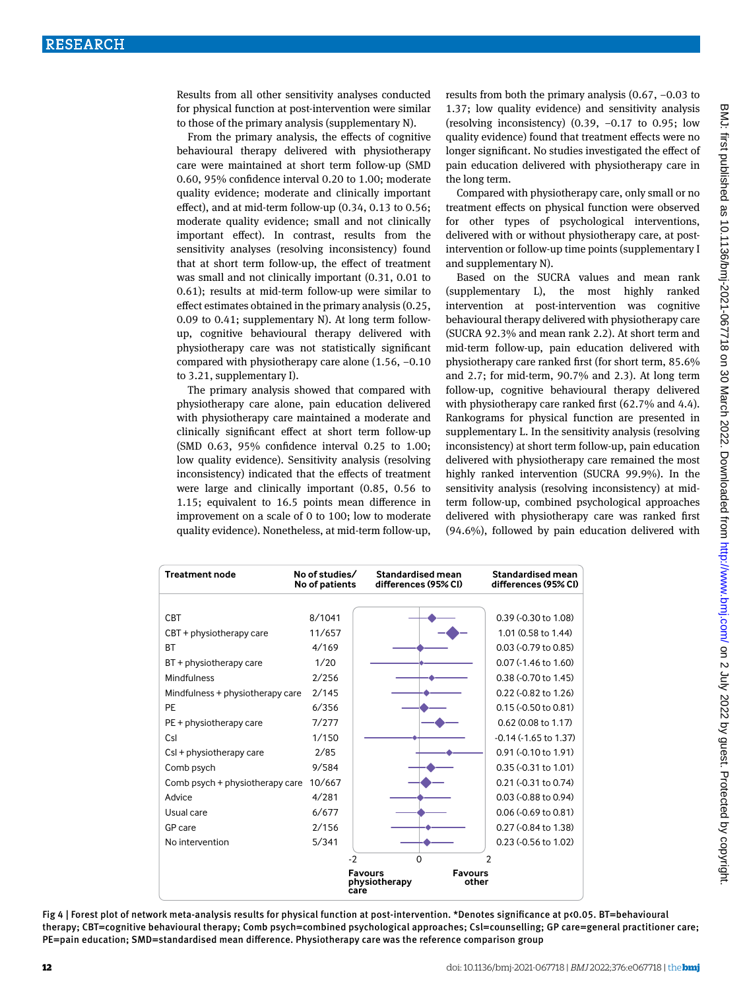Results from all other sensitivity analyses conducted for physical function at post-intervention were similar to those of the primary analysis (supplementary N).

From the primary analysis, the effects of cognitive behavioural therapy delivered with physiotherapy care were maintained at short term follow-up (SMD 0.60, 95% confidence interval 0.20 to 1.00; moderate quality evidence; moderate and clinically important effect), and at mid-term follow-up (0.34, 0.13 to 0.56; moderate quality evidence; small and not clinically important effect). In contrast, results from the sensitivity analyses (resolving inconsistency) found that at short term follow-up, the effect of treatment was small and not clinically important (0.31, 0.01 to 0.61); results at mid-term follow-up were similar to effect estimates obtained in the primary analysis (0.25, 0.09 to 0.41; supplementary N). At long term followup, cognitive behavioural therapy delivered with physiotherapy care was not statistically significant compared with physiotherapy care alone (1.56, −0.10 to 3.21, supplementary I).

The primary analysis showed that compared with physiotherapy care alone, pain education delivered with physiotherapy care maintained a moderate and clinically significant effect at short term follow-up (SMD 0.63, 95% confidence interval 0.25 to 1.00; low quality evidence). Sensitivity analysis (resolving inconsistency) indicated that the effects of treatment were large and clinically important (0.85, 0.56 to 1.15; equivalent to 16.5 points mean difference in improvement on a scale of 0 to 100; low to moderate quality evidence). Nonetheless, at mid-term follow-up, results from both the primary analysis (0.67, −0.03 to 1.37; low quality evidence) and sensitivity analysis (resolving inconsistency) (0.39, −0.17 to 0.95; low quality evidence) found that treatment effects were no longer significant. No studies investigated the effect of pain education delivered with physiotherapy care in the long term.

Compared with physiotherapy care, only small or no treatment effects on physical function were observed for other types of psychological interventions, delivered with or without physiotherapy care, at postintervention or follow-up time points (supplementary I and supplementary N).

Based on the SUCRA values and mean rank (supplementary L), the most highly ranked intervention at post-intervention was cognitive behavioural therapy delivered with physiotherapy care (SUCRA 92.3% and mean rank 2.2). At short term and mid-term follow-up, pain education delivered with physiotherapy care ranked first (for short term, 85.6% and 2.7; for mid-term, 90.7% and 2.3). At long term follow-up, cognitive behavioural therapy delivered with physiotherapy care ranked first (62.7% and 4.4). Rankograms for physical function are presented in supplementary L. In the sensitivity analysis (resolving inconsistency) at short term follow-up, pain education delivered with physiotherapy care remained the most highly ranked intervention (SUCRA 99.9%). In the sensitivity analysis (resolving inconsistency) at midterm follow-up, combined psychological approaches delivered with physiotherapy care was ranked first (94.6%), followed by pain education delivered with

| <b>Treatment node</b>            | No of studies/<br>No of patients | <b>Standardised mean</b><br>differences (95% CI)                   | <b>Standardised mean</b><br>differences (95% CI) |
|----------------------------------|----------------------------------|--------------------------------------------------------------------|--------------------------------------------------|
|                                  | 8/1041                           |                                                                    |                                                  |
| <b>CBT</b>                       |                                  |                                                                    | $0.39$ (-0.30 to 1.08)                           |
| $CBT +$ physiotherapy care       | 11/657                           |                                                                    | 1.01 (0.58 to 1.44)                              |
| <b>BT</b>                        | 4/169                            |                                                                    | 0.03 (-0.79 to 0.85)                             |
| BT + physiotherapy care          | 1/20                             |                                                                    | $0.07$ (-1.46 to 1.60)                           |
| Mindfulness                      | 2/256                            |                                                                    | 0.38 (-0.70 to 1.45)                             |
| Mindfulness + physiotherapy care | 2/145                            |                                                                    | $0.22$ (-0.82 to 1.26)                           |
| PE                               | 6/356                            |                                                                    | $0.15$ ( $-0.50$ to $0.81$ )                     |
| PE + physiotherapy care          | 7/277                            |                                                                    | $0.62$ (0.08 to 1.17)                            |
| Csl                              | 1/150                            |                                                                    | $-0.14$ $(-1.65$ to $1.37)$                      |
| CsI + physiotherapy care         | 2/85                             |                                                                    | 0.91 (-0.10 to 1.91)                             |
| Comb psych                       | 9/584                            |                                                                    | $0.35$ (-0.31 to 1.01)                           |
| Comb psych + physiotherapy care  | 10/667                           |                                                                    | 0.21 (-0.31 to 0.74)                             |
| Advice                           | 4/281                            |                                                                    | 0.03 (-0.88 to 0.94)                             |
| Usual care                       | 6/677                            |                                                                    | $0.06$ ( $-0.69$ to $0.81$ )                     |
| GP care                          | 2/156                            |                                                                    | 0.27 (-0.84 to 1.38)                             |
| No intervention                  | 5/341                            |                                                                    | 0.23 (-0.56 to 1.02)                             |
|                                  |                                  | $-2$<br>$\Omega$                                                   | 2                                                |
|                                  |                                  | <b>Favours</b><br><b>Favours</b><br>other<br>physiotherapy<br>care |                                                  |

Fig 4 | Forest plot of network meta-analysis results for physical function at post-intervention. \*Denotes significance at p<0.05. BT=behavioural therapy; CBT=cognitive behavioural therapy; Comb psych=combined psychological approaches; Csl=counselling; GP care=general practitioner care; PE=pain education; SMD=standardised mean difference. Physiotherapy care was the reference comparison group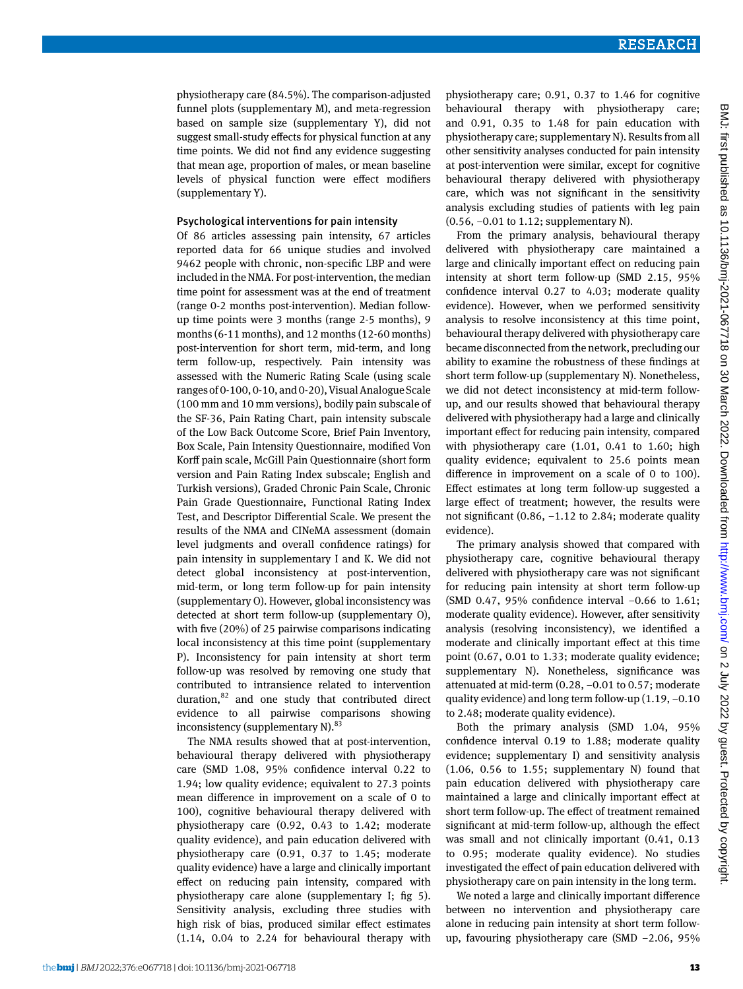physiotherapy care (84.5%). The comparison-adjusted funnel plots (supplementary M), and meta-regression based on sample size (supplementary Y), did not suggest small-study effects for physical function at any time points. We did not find any evidence suggesting that mean age, proportion of males, or mean baseline levels of physical function were effect modifiers (supplementary Y).

#### Psychological interventions for pain intensity

Of 86 articles assessing pain intensity, 67 articles reported data for 66 unique studies and involved 9462 people with chronic, non-specific LBP and were included in the NMA. For post-intervention, the median time point for assessment was at the end of treatment (range 0-2 months post-intervention). Median followup time points were 3 months (range 2-5 months), 9 months (6-11 months), and 12 months (12-60 months) post-intervention for short term, mid-term, and long term follow-up, respectively. Pain intensity was assessed with the Numeric Rating Scale (using scale ranges of 0-100, 0-10, and 0-20), Visual Analogue Scale (100 mm and 10 mm versions), bodily pain subscale of the SF-36, Pain Rating Chart, pain intensity subscale of the Low Back Outcome Score, Brief Pain Inventory, Box Scale, Pain Intensity Questionnaire, modified Von Korff pain scale, McGill Pain Questionnaire (short form version and Pain Rating Index subscale; English and Turkish versions), Graded Chronic Pain Scale, Chronic Pain Grade Questionnaire, Functional Rating Index Test, and Descriptor Differential Scale. We present the results of the NMA and CINeMA assessment (domain level judgments and overall confidence ratings) for pain intensity in supplementary I and K. We did not detect global inconsistency at post-intervention, mid-term, or long term follow-up for pain intensity (supplementary O). However, global inconsistency was detected at short term follow-up (supplementary O), with five (20%) of 25 pairwise comparisons indicating local inconsistency at this time point (supplementary P). Inconsistency for pain intensity at short term follow-up was resolved by removing one study that contributed to intransience related to intervention duration,<sup>82</sup> and one study that contributed direct evidence to all pairwise comparisons showing inconsistency (supplementary  $N$ ).<sup>83</sup>

The NMA results showed that at post-intervention, behavioural therapy delivered with physiotherapy care (SMD 1.08, 95% confidence interval 0.22 to 1.94; low quality evidence; equivalent to 27.3 points mean difference in improvement on a scale of 0 to 100), cognitive behavioural therapy delivered with physiotherapy care (0.92, 0.43 to 1.42; moderate quality evidence), and pain education delivered with physiotherapy care (0.91, 0.37 to 1.45; moderate quality evidence) have a large and clinically important effect on reducing pain intensity, compared with physiotherapy care alone (supplementary I; fig 5). Sensitivity analysis, excluding three studies with high risk of bias, produced similar effect estimates (1.14, 0.04 to 2.24 for behavioural therapy with physiotherapy care; 0.91, 0.37 to 1.46 for cognitive behavioural therapy with physiotherapy care; and 0.91, 0.35 to 1.48 for pain education with physiotherapy care; supplementary N). Results from all other sensitivity analyses conducted for pain intensity at post-intervention were similar, except for cognitive behavioural therapy delivered with physiotherapy care, which was not significant in the sensitivity analysis excluding studies of patients with leg pain (0.56, −0.01 to 1.12; supplementary N).

From the primary analysis, behavioural therapy delivered with physiotherapy care maintained a large and clinically important effect on reducing pain intensity at short term follow-up (SMD 2.15, 95% confidence interval 0.27 to 4.03; moderate quality evidence). However, when we performed sensitivity analysis to resolve inconsistency at this time point, behavioural therapy delivered with physiotherapy care became disconnected from the network, precluding our ability to examine the robustness of these findings at short term follow-up (supplementary N). Nonetheless, we did not detect inconsistency at mid-term followup, and our results showed that behavioural therapy delivered with physiotherapy had a large and clinically important effect for reducing pain intensity, compared with physiotherapy care (1.01, 0.41 to 1.60; high quality evidence; equivalent to 25.6 points mean difference in improvement on a scale of 0 to 100). Effect estimates at long term follow-up suggested a large effect of treatment; however, the results were not significant (0.86, −1.12 to 2.84; moderate quality evidence).

The primary analysis showed that compared with physiotherapy care, cognitive behavioural therapy delivered with physiotherapy care was not significant for reducing pain intensity at short term follow-up (SMD 0.47, 95% confidence interval −0.66 to 1.61; moderate quality evidence). However, after sensitivity analysis (resolving inconsistency), we identified a moderate and clinically important effect at this time point (0.67, 0.01 to 1.33; moderate quality evidence; supplementary N). Nonetheless, significance was attenuated at mid-term (0.28, −0.01 to 0.57; moderate quality evidence) and long term follow-up (1.19, −0.10 to 2.48; moderate quality evidence).

Both the primary analysis (SMD 1.04, 95% confidence interval 0.19 to 1.88; moderate quality evidence; supplementary I) and sensitivity analysis (1.06, 0.56 to 1.55; supplementary N) found that pain education delivered with physiotherapy care maintained a large and clinically important effect at short term follow-up. The effect of treatment remained significant at mid-term follow-up, although the effect was small and not clinically important (0.41, 0.13 to 0.95; moderate quality evidence). No studies investigated the effect of pain education delivered with physiotherapy care on pain intensity in the long term.

We noted a large and clinically important difference between no intervention and physiotherapy care alone in reducing pain intensity at short term followup, favouring physiotherapy care (SMD −2.06, 95%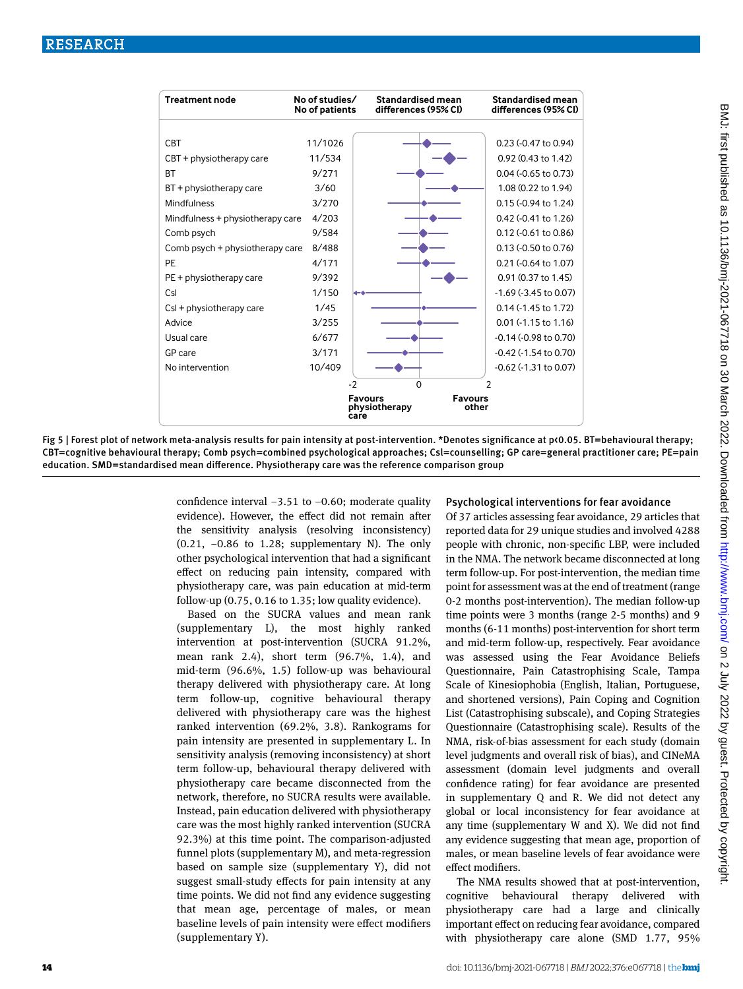

Fig 5 | Forest plot of network meta-analysis results for pain intensity at post-intervention. \*Denotes significance at p<0.05. BT=behavioural therapy; CBT =cognitive behavioural therapy; Comb psych=combined psychological approaches; Csl=counselling; GP care=general practitioner care; PE=pain education. SMD=standardised mean difference. Physiotherapy care was the reference comparison group

> confidence interval −3.51 to −0.60; moderate quality evidence). However, the effect did not remain after the sensitivity analysis (resolving inconsistency) (0.21, −0.86 to 1.28; supplementary N). The only other psychological intervention that had a significant effect on reducing pain intensity, compared with physiotherapy care, was pain education at mid-term follow-up  $(0.75, 0.16$  to  $1.35$ ; low quality evidence).

> Based on the SUCRA values and mean rank (supplementary L), the most highly ranked intervention at post-intervention (SUCRA 91.2%, mean rank 2.4), short term (96.7%, 1.4), and mid-term (96.6%, 1.5) follow-up was behavioural therapy delivered with physiotherapy care. At long term follow-up, cognitive behavioural therapy delivered with physiotherapy care was the highest ranked intervention (69.2%, 3.8). Rankograms for pain intensity are presented in supplementary L. In sensitivity analysis (removing inconsistency) at short term follow-up, behavioural therapy delivered with physiotherapy care became disconnected from the network, therefore, no SUCRA results were available. Instead, pain education delivered with physiotherapy care was the most highly ranked intervention (SUCRA 92.3%) at this time point. The comparison-adjusted funnel plots (supplementary M), and meta-regression based on sample size (supplementary Y), did not suggest small-study effects for pain intensity at any time points. We did not find any evidence suggesting that mean age, percentage of males, or mean baseline levels of pain intensity were effect modifiers (supplementary Y).

## Psychological interventions for fear avoidance

Of 37 articles assessing fear avoidance, 29 articles that reported data for 29 unique studies and involved 4288 people with chronic, non-specific LBP, were included in the NMA. The network became disconnected at long term follow-up. For post-intervention, the median time point for assessment was at the end of treatment (range 0-2 months post-intervention). The median follow-up time points were 3 months (range 2-5 months) and 9 months (6-11 months) post-intervention for short term and mid-term follow-up, respectively. Fear avoidance was assessed using the Fear Avoidance Beliefs Questionnaire, Pain Catastrophising Scale, Tampa Scale of Kinesiophobia (English, Italian, Portuguese, and shortened versions), Pain Coping and Cognition List (Catastrophising subscale), and Coping Strategies Questionnaire (Catastrophising scale). Results of the NMA, risk-of-bias assessment for each study (domain level judgments and overall risk of bias), and CINeMA assessment (domain level judgments and overall confidence rating) for fear avoidance are presented in supplementary Q and R. We did not detect any global or local inconsistency for fear avoidance at any time (supplementary W and X). We did not find any evidence suggesting that mean age, proportion of males, or mean baseline levels of fear avoidance were effect modifiers.

The NMA results showed that at post-intervention, cognitive behavioural therapy delivered with physiotherapy care had a large and clinically important effect on reducing fear avoidance, compared with physiotherapy care alone (SMD 1.77, 95%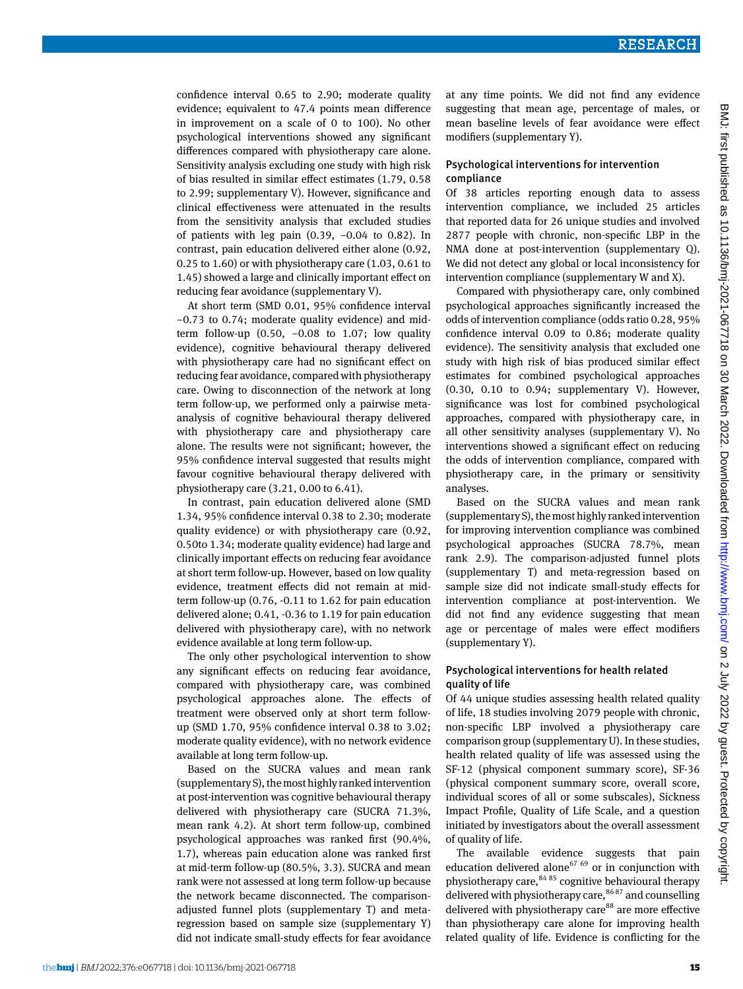confidence interval 0.65 to 2.90; moderate quality evidence; equivalent to 47.4 points mean difference in improvement on a scale of 0 to 100). No other psychological interventions showed any significant differences compared with physiotherapy care alone. Sensitivity analysis excluding one study with high risk of bias resulted in similar effect estimates (1.79, 0.58 to 2.99; supplementary V). However, significance and clinical effectiveness were attenuated in the results from the sensitivity analysis that excluded studies of patients with leg pain (0.39, −0.04 to 0.82). In contrast, pain education delivered either alone (0.92, 0.25 to 1.60) or with physiotherapy care (1.03, 0.61 to 1.45) showed a large and clinically important effect on reducing fear avoidance (supplementary V).

At short term (SMD 0.01, 95% confidence interval −0.73 to 0.74; moderate quality evidence) and midterm follow-up  $(0.50, -0.08)$  to 1.07; low quality evidence), cognitive behavioural therapy delivered with physiotherapy care had no significant effect on reducing fear avoidance, compared with physiotherapy care. Owing to disconnection of the network at long term follow-up, we performed only a pairwise metaanalysis of cognitive behavioural therapy delivered with physiotherapy care and physiotherapy care alone. The results were not significant; however, the 95% confidence interval suggested that results might favour cognitive behavioural therapy delivered with physiotherapy care (3.21, 0.00 to 6.41).

In contrast, pain education delivered alone (SMD 1.34, 95% confidence interval 0.38 to 2.30; moderate quality evidence) or with physiotherapy care (0.92, 0.50to 1.34; moderate quality evidence) had large and clinically important effects on reducing fear avoidance at short term follow-up. However, based on low quality evidence, treatment effects did not remain at midterm follow-up (0.76, -0.11 to 1.62 for pain education delivered alone; 0.41, -0.36 to 1.19 for pain education delivered with physiotherapy care), with no network evidence available at long term follow-up.

The only other psychological intervention to show any significant effects on reducing fear avoidance, compared with physiotherapy care, was combined psychological approaches alone. The effects of treatment were observed only at short term followup (SMD 1.70, 95% confidence interval 0.38 to 3.02; moderate quality evidence), with no network evidence available at long term follow-up.

Based on the SUCRA values and mean rank (supplementary S), the most highly ranked intervention at post-intervention was cognitive behavioural therapy delivered with physiotherapy care (SUCRA 71.3%, mean rank 4.2). At short term follow-up, combined psychological approaches was ranked first (90.4%, 1.7), whereas pain education alone was ranked first at mid-term follow-up (80.5%, 3.3). SUCRA and mean rank were not assessed at long term follow-up because the network became disconnected. The comparisonadjusted funnel plots (supplementary T) and metaregression based on sample size (supplementary Y) did not indicate small-study effects for fear avoidance

at any time points. We did not find any evidence suggesting that mean age, percentage of males, or mean baseline levels of fear avoidance were effect modifiers (supplementary Y).

#### Psychological interventions for intervention compliance

Of 38 articles reporting enough data to assess intervention compliance, we included 25 articles that reported data for 26 unique studies and involved 2877 people with chronic, non-specific LBP in the NMA done at post-intervention (supplementary Q). We did not detect any global or local inconsistency for intervention compliance (supplementary W and X).

Compared with physiotherapy care, only combined psychological approaches significantly increased the odds of intervention compliance (odds ratio 0.28, 95% confidence interval 0.09 to 0.86; moderate quality evidence). The sensitivity analysis that excluded one study with high risk of bias produced similar effect estimates for combined psychological approaches  $(0.30, 0.10$  to  $0.94$ ; supplementary V). However, significance was lost for combined psychological approaches, compared with physiotherapy care, in all other sensitivity analyses (supplementary V). No interventions showed a significant effect on reducing the odds of intervention compliance, compared with physiotherapy care, in the primary or sensitivity analyses.

Based on the SUCRA values and mean rank (supplementary S), the most highly ranked intervention for improving intervention compliance was combined psychological approaches (SUCRA 78.7%, mean rank 2.9). The comparison-adjusted funnel plots (supplementary T) and meta-regression based on sample size did not indicate small-study effects for intervention compliance at post-intervention. We did not find any evidence suggesting that mean age or percentage of males were effect modifiers (supplementary Y).

## Psychological interventions for health related quality of life

Of 44 unique studies assessing health related quality of life, 18 studies involving 2079 people with chronic, non-specific LBP involved a physiotherapy care comparison group (supplementary U). In these studies, health related quality of life was assessed using the SF-12 (physical component summary score), SF-36 (physical component summary score, overall score, individual scores of all or some subscales), Sickness Impact Profile, Quality of Life Scale, and a question initiated by investigators about the overall assessment of quality of life.

The available evidence suggests that pain education delivered alone<sup>67 69</sup> or in conjunction with physiotherapy care,  $8485$  cognitive behavioural therapy delivered with physiotherapy care,<sup>86 87</sup> and counselling delivered with physiotherapy care $88$  are more effective than physiotherapy care alone for improving health related quality of life. Evidence is conflicting for the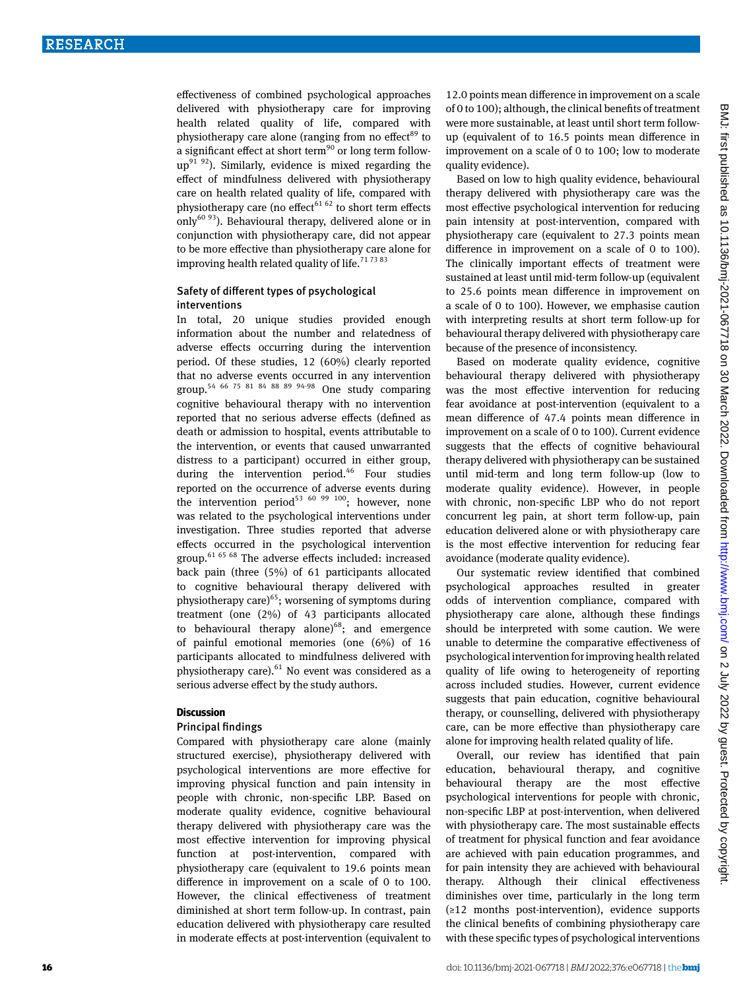effectiveness of combined psychological approaches delivered with physiotherapy care for improving health related quality of life, compared with physiotherapy care alone (ranging from no effect $^{89}$  to a significant effect at short term<sup>90</sup> or long term follow $up^{91}$   $92)$ . Similarly, evidence is mixed regarding the effect of mindfulness delivered with physiotherapy care on health related quality of life, compared with physiotherapy care (no effect<sup>61 62</sup> to short term effects only<sup>60 93</sup>). Behavioural therapy, delivered alone or in conjunction with physiotherapy care, did not appear to be more effective than physiotherapy care alone for improving health related quality of life.<sup>717383</sup>

## Safety of different types of psychological interventions

In total, 20 unique studies provided enough information about the number and relatedness of adverse effects occurring during the intervention period. Of these studies, 12 (60%) clearly reported that no adverse events occurred in any intervention group.<sup>54 66 75 81 84 88 89 94-98</sup> One study comparing cognitive behavioural therapy with no intervention reported that no serious adverse effects (defined as death or admission to hospital, events attributable to the intervention, or events that caused unwarranted distress to a participant) occurred in either group, during the intervention period.<sup>46</sup> Four studies reported on the occurrence of adverse events during the intervention period<sup>53 60 99 100</sup>; however, none was related to the psychological interventions under investigation. Three studies reported that adverse effects occurred in the psychological intervention group.61 65 68 The adverse effects included: increased back pain (three (5%) of 61 participants allocated to cognitive behavioural therapy delivered with physiotherapy care)<sup>65</sup>; worsening of symptoms during treatment (one (2%) of 43 participants allocated to behavioural therapy alone) $^{68}$ ; and emergence of painful emotional memories (one (6%) of 16 participants allocated to mindfulness delivered with physiotherapy care). $61$  No event was considered as a serious adverse effect by the study authors.

#### **Discussion**

#### Principal findings

Compared with physiotherapy care alone (mainly structured exercise), physiotherapy delivered with psychological interventions are more effective for improving physical function and pain intensity in people with chronic, non-specific LBP. Based on moderate quality evidence, cognitive behavioural therapy delivered with physiotherapy care was the most effective intervention for improving physical function at post-intervention, compared with physiotherapy care (equivalent to 19.6 points mean difference in improvement on a scale of 0 to 100. However, the clinical effectiveness of treatment diminished at short term follow-up. In contrast, pain education delivered with physiotherapy care resulted in moderate effects at post-intervention (equivalent to 12.0 points mean difference in improvement on a scale of 0 to 100); although, the clinical benefits of treatment were more sustainable, at least until short term followup (equivalent of to 16.5 points mean difference in improvement on a scale of 0 to 100; low to moderate quality evidence).

Based on low to high quality evidence, behavioural therapy delivered with physiotherapy care was the most effective psychological intervention for reducing pain intensity at post-intervention, compared with physiotherapy care (equivalent to 27.3 points mean difference in improvement on a scale of 0 to 100). The clinically important effects of treatment were sustained at least until mid-term follow-up (equivalent to 25.6 points mean difference in improvement on a scale of 0 to 100). However, we emphasise caution with interpreting results at short term follow-up for behavioural therapy delivered with physiotherapy care because of the presence of inconsistency.

Based on moderate quality evidence, cognitive behavioural therapy delivered with physiotherapy was the most effective intervention for reducing fear avoidance at post-intervention (equivalent to a mean difference of 47.4 points mean difference in improvement on a scale of 0 to 100). Current evidence suggests that the effects of cognitive behavioural therapy delivered with physiotherapy can be sustained until mid-term and long term follow-up (low to moderate quality evidence). However, in people with chronic, non-specific LBP who do not report concurrent leg pain, at short term follow-up, pain education delivered alone or with physiotherapy care is the most effective intervention for reducing fear avoidance (moderate quality evidence).

Our systematic review identified that combined psychological approaches resulted in greater odds of intervention compliance, compared with physiotherapy care alone, although these findings should be interpreted with some caution. We were unable to determine the comparative effectiveness of psychological intervention for improving health related quality of life owing to heterogeneity of reporting across included studies. However, current evidence suggests that pain education, cognitive behavioural therapy, or counselling, delivered with physiotherapy care, can be more effective than physiotherapy care alone for improving health related quality of life.

Overall, our review has identified that pain education, behavioural therapy, and cognitive behavioural therapy are the most effective psychological interventions for people with chronic, non-specific LBP at post-intervention, when delivered with physiotherapy care. The most sustainable effects of treatment for physical function and fear avoidance are achieved with pain education programmes, and for pain intensity they are achieved with behavioural therapy. Although their clinical effectiveness diminishes over time, particularly in the long term (≥12 months post-intervention), evidence supports the clinical benefits of combining physiotherapy care with these specific types of psychological interventions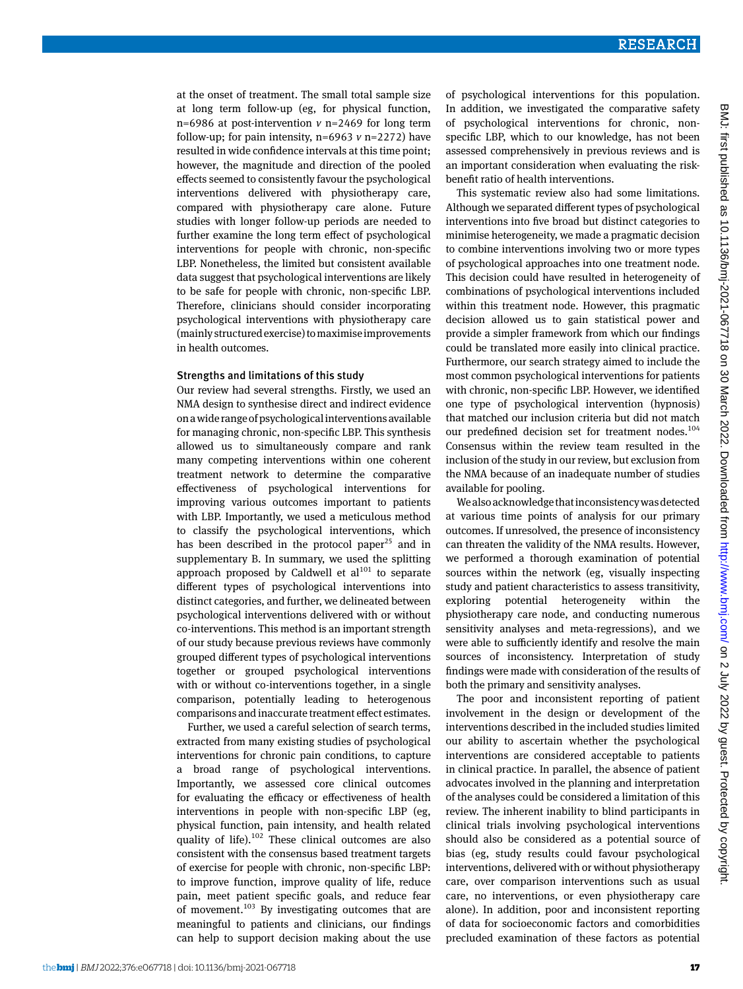at the onset of treatment. The small total sample size at long term follow-up (eg, for physical function, n=6986 at post-intervention *v* n=2469 for long term follow-up; for pain intensity,  $n=6963$   $\nu$   $n=2272$ ) have resulted in wide confidence intervals at this time point; however, the magnitude and direction of the pooled effects seemed to consistently favour the psychological interventions delivered with physiotherapy care, compared with physiotherapy care alone. Future studies with longer follow-up periods are needed to further examine the long term effect of psychological interventions for people with chronic, non-specific LBP. Nonetheless, the limited but consistent available data suggest that psychological interventions are likely to be safe for people with chronic, non-specific LBP. Therefore, clinicians should consider incorporating psychological interventions with physiotherapy care (mainly structured exercise) to maximise improvements in health outcomes.

#### Strengths and limitations of this study

Our review had several strengths. Firstly, we used an NMA design to synthesise direct and indirect evidence on a wide range of psychological interventions available for managing chronic, non-specific LBP. This synthesis allowed us to simultaneously compare and rank many competing interventions within one coherent treatment network to determine the comparative effectiveness of psychological interventions for improving various outcomes important to patients with LBP. Importantly, we used a meticulous method to classify the psychological interventions, which has been described in the protocol paper<sup>25</sup> and in supplementary B. In summary, we used the splitting approach proposed by Caldwell et  $al^{101}$  to separate different types of psychological interventions into distinct categories, and further, we delineated between psychological interventions delivered with or without co-interventions. This method is an important strength of our study because previous reviews have commonly grouped different types of psychological interventions together or grouped psychological interventions with or without co-interventions together, in a single comparison, potentially leading to heterogenous comparisons and inaccurate treatment effect estimates.

Further, we used a careful selection of search terms, extracted from many existing studies of psychological interventions for chronic pain conditions, to capture a broad range of psychological interventions. Importantly, we assessed core clinical outcomes for evaluating the efficacy or effectiveness of health interventions in people with non-specific LBP (eg, physical function, pain intensity, and health related quality of life). $102$  These clinical outcomes are also consistent with the consensus based treatment targets of exercise for people with chronic, non-specific LBP: to improve function, improve quality of life, reduce pain, meet patient specific goals, and reduce fear of movement.<sup>103</sup> By investigating outcomes that are meaningful to patients and clinicians, our findings can help to support decision making about the use of psychological interventions for this population. In addition, we investigated the comparative safety of psychological interventions for chronic, nonspecific LBP, which to our knowledge, has not been assessed comprehensively in previous reviews and is an important consideration when evaluating the riskbenefit ratio of health interventions.

This systematic review also had some limitations. Although we separated different types of psychological interventions into five broad but distinct categories to minimise heterogeneity, we made a pragmatic decision to combine interventions involving two or more types of psychological approaches into one treatment node. This decision could have resulted in heterogeneity of combinations of psychological interventions included within this treatment node. However, this pragmatic decision allowed us to gain statistical power and provide a simpler framework from which our findings could be translated more easily into clinical practice. Furthermore, our search strategy aimed to include the most common psychological interventions for patients with chronic, non-specific LBP. However, we identified one type of psychological intervention (hypnosis) that matched our inclusion criteria but did not match our predefined decision set for treatment nodes.<sup>104</sup> Consensus within the review team resulted in the inclusion of the study in our review, but exclusion from the NMA because of an inadequate number of studies available for pooling.

We also acknowledge that inconsistency was detected at various time points of analysis for our primary outcomes. If unresolved, the presence of inconsistency can threaten the validity of the NMA results. However, we performed a thorough examination of potential sources within the network (eg, visually inspecting study and patient characteristics to assess transitivity, exploring potential heterogeneity within the physiotherapy care node, and conducting numerous sensitivity analyses and meta-regressions), and we were able to sufficiently identify and resolve the main sources of inconsistency. Interpretation of study findings were made with consideration of the results of both the primary and sensitivity analyses.

The poor and inconsistent reporting of patient involvement in the design or development of the interventions described in the included studies limited our ability to ascertain whether the psychological interventions are considered acceptable to patients in clinical practice. In parallel, the absence of patient advocates involved in the planning and interpretation of the analyses could be considered a limitation of this review. The inherent inability to blind participants in clinical trials involving psychological interventions should also be considered as a potential source of bias (eg, study results could favour psychological interventions, delivered with or without physiotherapy care, over comparison interventions such as usual care, no interventions, or even physiotherapy care alone). In addition, poor and inconsistent reporting of data for socioeconomic factors and comorbidities precluded examination of these factors as potential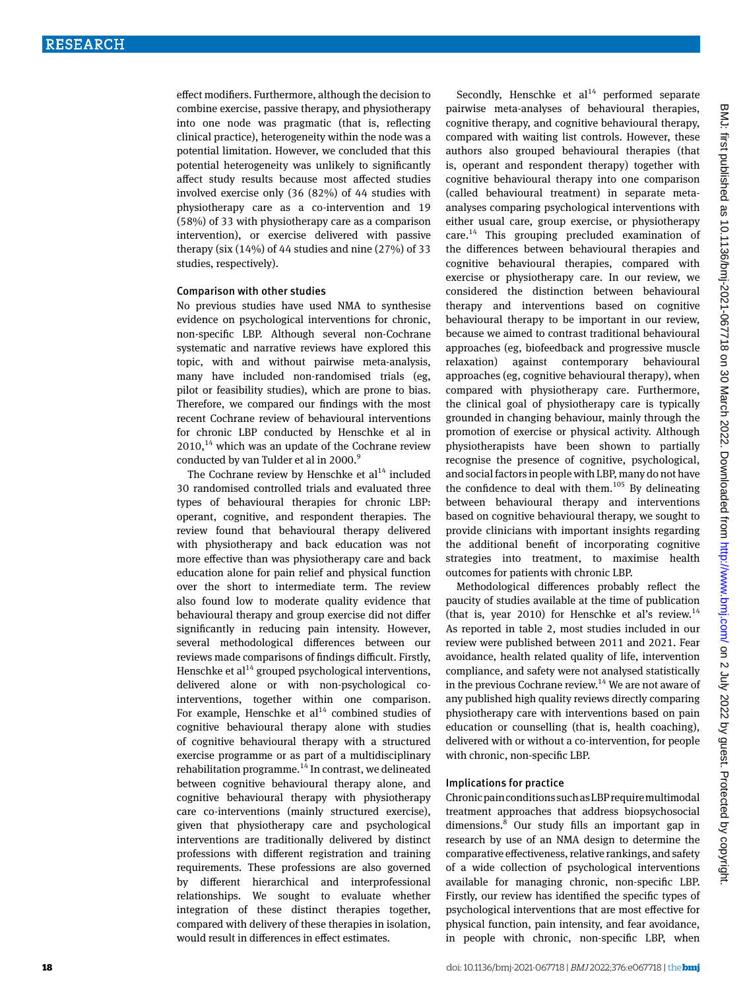effect modifiers. Furthermore, although the decision to combine exercise, passive therapy, and physiotherapy into one node was pragmatic (that is, reflecting clinical practice), heterogeneity within the node was a potential limitation. However, we concluded that this potential heterogeneity was unlikely to significantly affect study results because most affected studies involved exercise only (36 (82%) of 44 studies with physiotherapy care as a co-intervention and 19 (58%) of 33 with physiotherapy care as a comparison intervention), or exercise delivered with passive therapy (six (14%) of 44 studies and nine (27%) of 33 studies, respectively).

#### Comparison with other studies

No previous studies have used NMA to synthesise evidence on psychological interventions for chronic, non-specific LBP. Although several non-Cochrane systematic and narrative reviews have explored this topic, with and without pairwise meta-analysis, many have included non-randomised trials (eg, pilot or feasibility studies), which are prone to bias. Therefore, we compared our findings with the most recent Cochrane review of behavioural interventions for chronic LBP conducted by Henschke et al in  $2010$ ,<sup>14</sup> which was an update of the Cochrane review conducted by van Tulder et al in 2000.<sup>9</sup>

The Cochrane review by Henschke et  $al<sup>14</sup>$  included 30 randomised controlled trials and evaluated three types of behavioural therapies for chronic LBP: operant, cognitive, and respondent therapies. The review found that behavioural therapy delivered with physiotherapy and back education was not more effective than was physiotherapy care and back education alone for pain relief and physical function over the short to intermediate term. The review also found low to moderate quality evidence that behavioural therapy and group exercise did not differ significantly in reducing pain intensity. However, several methodological differences between our reviews made comparisons of findings difficult. Firstly, Henschke et  $al^{14}$  grouped psychological interventions, delivered alone or with non-psychological cointerventions, together within one comparison. For example, Henschke et  $al<sup>14</sup>$  combined studies of cognitive behavioural therapy alone with studies of cognitive behavioural therapy with a structured exercise programme or as part of a multidisciplinary rehabilitation programme.<sup>14</sup> In contrast, we delineated between cognitive behavioural therapy alone, and cognitive behavioural therapy with physiotherapy care co-interventions (mainly structured exercise), given that physiotherapy care and psychological interventions are traditionally delivered by distinct professions with different registration and training requirements. These professions are also governed by different hierarchical and interprofessional relationships. We sought to evaluate whether integration of these distinct therapies together, compared with delivery of these therapies in isolation, would result in differences in effect estimates.

Secondly, Henschke et  $al<sup>14</sup>$  performed separate pairwise meta-analyses of behavioural therapies, cognitive therapy, and cognitive behavioural therapy, compared with waiting list controls. However, these authors also grouped behavioural therapies (that is, operant and respondent therapy) together with cognitive behavioural therapy into one comparison (called behavioural treatment) in separate metaanalyses comparing psychological interventions with either usual care, group exercise, or physiotherapy  $care.<sup>14</sup>$  This grouping precluded examination of the differences between behavioural therapies and cognitive behavioural therapies, compared with exercise or physiotherapy care. In our review, we considered the distinction between behavioural therapy and interventions based on cognitive behavioural therapy to be important in our review, because we aimed to contrast traditional behavioural approaches (eg, biofeedback and progressive muscle relaxation) against contemporary behavioural approaches (eg, cognitive behavioural therapy), when compared with physiotherapy care. Furthermore, the clinical goal of physiotherapy care is typically grounded in changing behaviour, mainly through the promotion of exercise or physical activity. Although physiotherapists have been shown to partially recognise the presence of cognitive, psychological, and social factors in people with LBP, many do not have the confidence to deal with them. $105$  By delineating between behavioural therapy and interventions based on cognitive behavioural therapy, we sought to provide clinicians with important insights regarding the additional benefit of incorporating cognitive strategies into treatment, to maximise health outcomes for patients with chronic LBP.

Methodological differences probably reflect the paucity of studies available at the time of publication (that is, year 2010) for Henschke et al's review.<sup>14</sup> As reported in table 2, most studies included in our review were published between 2011 and 2021. Fear avoidance, health related quality of life, intervention compliance, and safety were not analysed statistically in the previous Cochrane review.<sup>14</sup> We are not aware of any published high quality reviews directly comparing physiotherapy care with interventions based on pain education or counselling (that is, health coaching), delivered with or without a co-intervention, for people with chronic, non-specific LBP.

#### Implications for practice

Chronic pain conditions such as LBP require multimodal treatment approaches that address biopsychosocial dimensions.8 Our study fills an important gap in research by use of an NMA design to determine the comparative effectiveness, relative rankings, and safety of a wide collection of psychological interventions available for managing chronic, non-specific LBP. Firstly, our review has identified the specific types of psychological interventions that are most effective for physical function, pain intensity, and fear avoidance, in people with chronic, non-specific LBP, when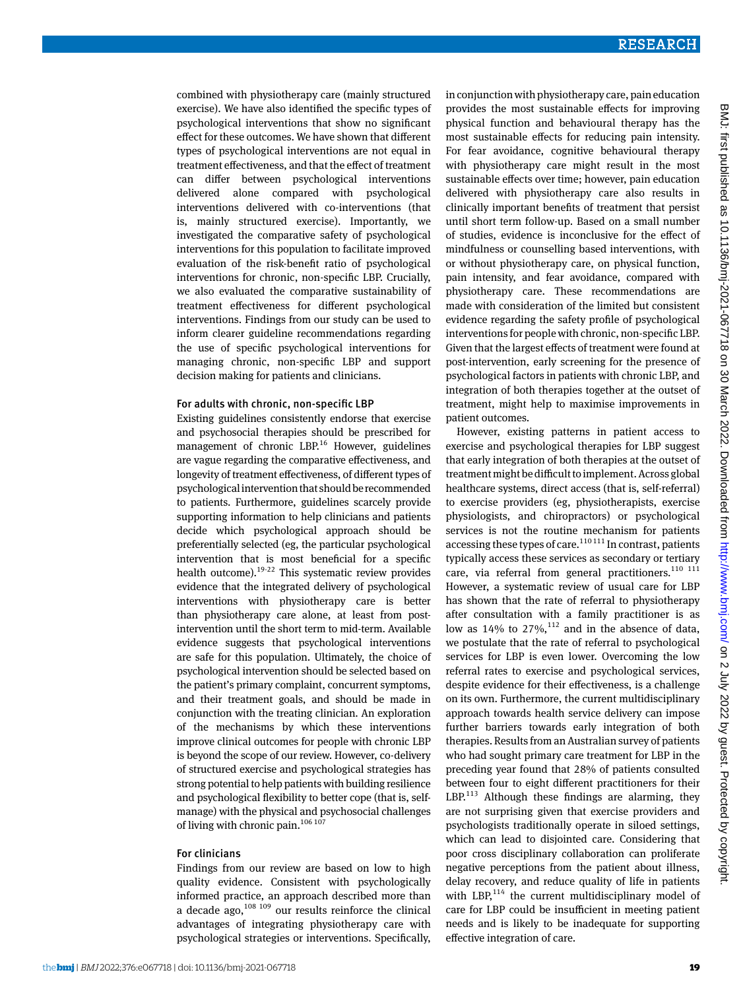combined with physiotherapy care (mainly structured exercise). We have also identified the specific types of psychological interventions that show no significant effect for these outcomes. We have shown that different types of psychological interventions are not equal in treatment effectiveness, and that the effect of treatment can differ between psychological interventions delivered alone compared with psychological interventions delivered with co-interventions (that is, mainly structured exercise). Importantly, we investigated the comparative safety of psychological interventions for this population to facilitate improved evaluation of the risk-benefit ratio of psychological interventions for chronic, non-specific LBP. Crucially, we also evaluated the comparative sustainability of treatment effectiveness for different psychological interventions. Findings from our study can be used to inform clearer guideline recommendations regarding the use of specific psychological interventions for managing chronic, non-specific LBP and support decision making for patients and clinicians.

#### For adults with chronic, non-specific LBP

Existing guidelines consistently endorse that exercise and psychosocial therapies should be prescribed for management of chronic LBP.<sup>16</sup> However, guidelines are vague regarding the comparative effectiveness, and longevity of treatment effectiveness, of different types of psychological intervention that should be recommended to patients. Furthermore, guidelines scarcely provide supporting information to help clinicians and patients decide which psychological approach should be preferentially selected (eg, the particular psychological intervention that is most beneficial for a specific health outcome).19-22 This systematic review provides evidence that the integrated delivery of psychological interventions with physiotherapy care is better than physiotherapy care alone, at least from postintervention until the short term to mid-term. Available evidence suggests that psychological interventions are safe for this population. Ultimately, the choice of psychological intervention should be selected based on the patient's primary complaint, concurrent symptoms, and their treatment goals, and should be made in conjunction with the treating clinician. An exploration of the mechanisms by which these interventions improve clinical outcomes for people with chronic LBP is beyond the scope of our review. However, co-delivery of structured exercise and psychological strategies has strong potential to help patients with building resilience and psychological flexibility to better cope (that is, selfmanage) with the physical and psychosocial challenges of living with chronic pain.106 107

#### For clinicians

Findings from our review are based on low to high quality evidence. Consistent with psychologically informed practice, an approach described more than a decade ago, $108$   $109$  our results reinforce the clinical advantages of integrating physiotherapy care with psychological strategies or interventions. Specifically, in conjunction with physiotherapy care, pain education provides the most sustainable effects for improving physical function and behavioural therapy has the most sustainable effects for reducing pain intensity. For fear avoidance, cognitive behavioural therapy with physiotherapy care might result in the most sustainable effects over time; however, pain education delivered with physiotherapy care also results in clinically important benefits of treatment that persist until short term follow-up. Based on a small number of studies, evidence is inconclusive for the effect of mindfulness or counselling based interventions, with or without physiotherapy care, on physical function, pain intensity, and fear avoidance, compared with physiotherapy care. These recommendations are made with consideration of the limited but consistent evidence regarding the safety profile of psychological interventions for people with chronic, non-specific LBP. Given that the largest effects of treatment were found at post-intervention, early screening for the presence of psychological factors in patients with chronic LBP, and integration of both therapies together at the outset of treatment, might help to maximise improvements in patient outcomes.

However, existing patterns in patient access to exercise and psychological therapies for LBP suggest that early integration of both therapies at the outset of treatment might be difficult to implement. Across global healthcare systems, direct access (that is, self-referral) to exercise providers (eg, physiotherapists, exercise physiologists, and chiropractors) or psychological services is not the routine mechanism for patients accessing these types of care.<sup>110111</sup> In contrast, patients typically access these services as secondary or tertiary care, via referral from general practitioners.<sup>110 111</sup> However, a systematic review of usual care for LBP has shown that the rate of referral to physiotherapy after consultation with a family practitioner is as low as  $14\%$  to  $27\%$ ,  $^{112}$  and in the absence of data, we postulate that the rate of referral to psychological services for LBP is even lower. Overcoming the low referral rates to exercise and psychological services, despite evidence for their effectiveness, is a challenge on its own. Furthermore, the current multidisciplinary approach towards health service delivery can impose further barriers towards early integration of both therapies. Results from an Australian survey of patients who had sought primary care treatment for LBP in the preceding year found that 28% of patients consulted between four to eight different practitioners for their  $LBP<sup>113</sup>$  Although these findings are alarming, they are not surprising given that exercise providers and psychologists traditionally operate in siloed settings, which can lead to disjointed care. Considering that poor cross disciplinary collaboration can proliferate negative perceptions from the patient about illness, delay recovery, and reduce quality of life in patients with LBP, $^{114}$  the current multidisciplinary model of care for LBP could be insufficient in meeting patient needs and is likely to be inadequate for supporting effective integration of care.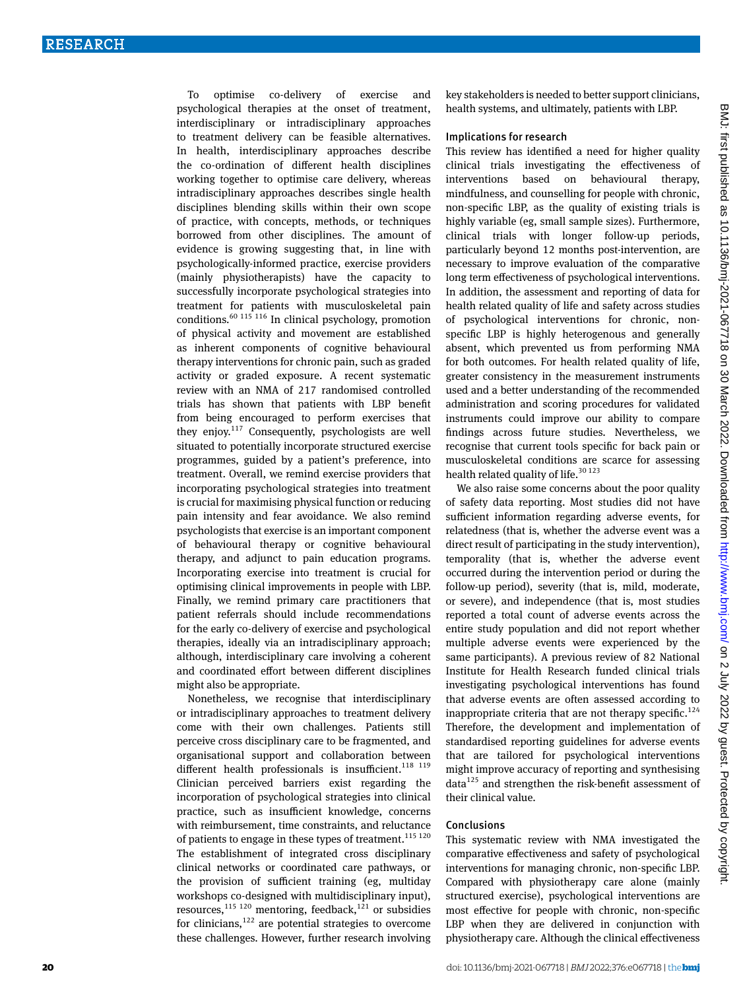To optimise co-delivery of exercise and psychological therapies at the onset of treatment, interdisciplinary or intradisciplinary approaches to treatment delivery can be feasible alternatives. In health, interdisciplinary approaches describe the co-ordination of different health disciplines working together to optimise care delivery, whereas intradisciplinary approaches describes single health disciplines blending skills within their own scope of practice, with concepts, methods, or techniques borrowed from other disciplines. The amount of evidence is growing suggesting that, in line with psychologically-informed practice, exercise providers (mainly physiotherapists) have the capacity to successfully incorporate psychological strategies into treatment for patients with musculoskeletal pain conditions.60 115 116 In clinical psychology, promotion of physical activity and movement are established as inherent components of cognitive behavioural therapy interventions for chronic pain, such as graded activity or graded exposure. A recent systematic review with an NMA of 217 randomised controlled trials has shown that patients with LBP benefit from being encouraged to perform exercises that they enjoy. $117$  Consequently, psychologists are well situated to potentially incorporate structured exercise programmes, guided by a patient's preference, into treatment. Overall, we remind exercise providers that incorporating psychological strategies into treatment is crucial for maximising physical function or reducing pain intensity and fear avoidance. We also remind psychologists that exercise is an important component of behavioural therapy or cognitive behavioural therapy, and adjunct to pain education programs. Incorporating exercise into treatment is crucial for optimising clinical improvements in people with LBP. Finally, we remind primary care practitioners that patient referrals should include recommendations for the early co-delivery of exercise and psychological therapies, ideally via an intradisciplinary approach; although, interdisciplinary care involving a coherent and coordinated effort between different disciplines might also be appropriate.

Nonetheless, we recognise that interdisciplinary or intradisciplinary approaches to treatment delivery come with their own challenges. Patients still perceive cross disciplinary care to be fragmented, and organisational support and collaboration between different health professionals is insufficient.<sup>118</sup> <sup>119</sup> Clinician perceived barriers exist regarding the incorporation of psychological strategies into clinical practice, such as insufficient knowledge, concerns with reimbursement, time constraints, and reluctance of patients to engage in these types of treatment.<sup>115 120</sup> The establishment of integrated cross disciplinary clinical networks or coordinated care pathways, or the provision of sufficient training (eg, multiday workshops co-designed with multidisciplinary input), resources,<sup>115 120</sup> mentoring, feedback,<sup>121</sup> or subsidies for clinicians, $122$  are potential strategies to overcome these challenges. However, further research involving

key stakeholders is needed to better support clinicians, health systems, and ultimately, patients with LBP.

#### Implications for research

This review has identified a need for higher quality clinical trials investigating the effectiveness of interventions based on behavioural therapy, mindfulness, and counselling for people with chronic, non-specific LBP, as the quality of existing trials is highly variable (eg, small sample sizes). Furthermore, clinical trials with longer follow-up periods, particularly beyond 12 months post-intervention, are necessary to improve evaluation of the comparative long term effectiveness of psychological interventions. In addition, the assessment and reporting of data for health related quality of life and safety across studies of psychological interventions for chronic, nonspecific LBP is highly heterogenous and generally absent, which prevented us from performing NMA for both outcomes. For health related quality of life, greater consistency in the measurement instruments used and a better understanding of the recommended administration and scoring procedures for validated instruments could improve our ability to compare findings across future studies. Nevertheless, we recognise that current tools specific for back pain or musculoskeletal conditions are scarce for assessing health related quality of life. $30123$ 

We also raise some concerns about the poor quality of safety data reporting. Most studies did not have sufficient information regarding adverse events, for relatedness (that is, whether the adverse event was a direct result of participating in the study intervention), temporality (that is, whether the adverse event occurred during the intervention period or during the follow-up period), severity (that is, mild, moderate, or severe), and independence (that is, most studies reported a total count of adverse events across the entire study population and did not report whether multiple adverse events were experienced by the same participants). A previous review of 82 National Institute for Health Research funded clinical trials investigating psychological interventions has found that adverse events are often assessed according to inappropriate criteria that are not therapy specific.<sup>124</sup> Therefore, the development and implementation of standardised reporting guidelines for adverse events that are tailored for psychological interventions might improve accuracy of reporting and synthesising  $data<sup>125</sup>$  and strengthen the risk-benefit assessment of their clinical value.

#### Conclusions

This systematic review with NMA investigated the comparative effectiveness and safety of psychological interventions for managing chronic, non-specific LBP. Compared with physiotherapy care alone (mainly structured exercise), psychological interventions are most effective for people with chronic, non-specific LBP when they are delivered in conjunction with physiotherapy care. Although the clinical effectiveness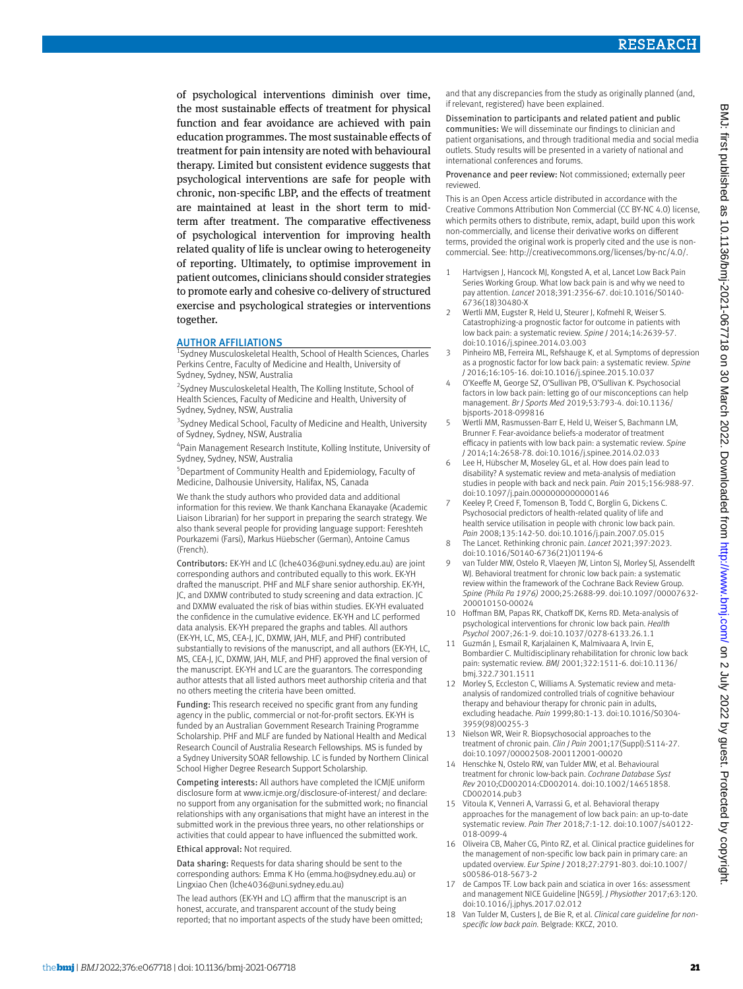of psychological interventions diminish over time, the most sustainable effects of treatment for physical function and fear avoidance are achieved with pain education programmes. The most sustainable effects of treatment for pain intensity are noted with behavioural therapy. Limited but consistent evidence suggests that psychological interventions are safe for people with chronic, non-specific LBP, and the effects of treatment are maintained at least in the short term to midterm after treatment. The comparative effectiveness of psychological intervention for improving health related quality of life is unclear owing to heterogeneity of reporting. Ultimately, to optimise improvement in patient outcomes, clinicians should consider strategies to promote early and cohesive co-delivery of structured exercise and psychological strategies or interventions together.

#### **AUTHOR AFFILIATIONS**

Sydney Musculoskeletal Health, School of Health Sciences, Charles Perkins Centre, Faculty of Medicine and Health, University of Sydney, Sydney, NSW, Australia

2 Sydney Musculoskeletal Health, The Kolling Institute, School of Health Sciences, Faculty of Medicine and Health, University of Sydney, Sydney, NSW, Australia

<sup>3</sup> Sydney Medical School, Faculty of Medicine and Health, University of Sydney, Sydney, NSW, Australia

4 Pain Management Research Institute, Kolling Institute, University of Sydney, Sydney, NSW, Australia

5 Department of Community Health and Epidemiology, Faculty of Medicine, Dalhousie University, Halifax, NS, Canada

We thank the study authors who provided data and additional information for this review. We thank Kanchana Ekanayake (Academic Liaison Librarian) for her support in preparing the search strategy. We also thank several people for providing language support: Fereshteh Pourkazemi (Farsi), Markus Hüebscher (German), Antoine Camus (French).

Contributors: EK-YH and LC ([lche4036@uni.sydney.edu.au](mailto:lche4036@uni.sydney.edu.au)) are joint corresponding authors and contributed equally to this work. EK-YH drafted the manuscript. PHF and MLF share senior authorship. EK-YH, JC, and DXMW contributed to study screening and data extraction. JC and DXMW evaluated the risk of bias within studies. EK-YH evaluated the confidence in the cumulative evidence. EK-YH and LC performed data analysis. EK-YH prepared the graphs and tables. All authors (EK-YH, LC, MS, CEA-J, JC, DXMW, JAH, MLF, and PHF) contributed substantially to revisions of the manuscript, and all authors (EK-YH, LC, MS, CEA-J, JC, DXMW, JAH, MLF, and PHF) approved the final version of the manuscript. EK-YH and LC are the guarantors. The corresponding author attests that all listed authors meet authorship criteria and that no others meeting the criteria have been omitted.

Funding: This research received no specific grant from any funding agency in the public, commercial or not-for-profit sectors. EK-YH is funded by an Australian Government Research Training Programme Scholarship. PHF and MLF are funded by National Health and Medical Research Council of Australia Research Fellowships. MS is funded by a Sydney University SOAR fellowship. LC is funded by Northern Clinical School Higher Degree Research Support Scholarship.

Competing interests: All authors have completed the ICMJE uniform disclosure form at [www.icmje.org/disclosure-of-interest/](http://www.icmje.org/disclosure-of-interest/) and declare: no support from any organisation for the submitted work; no financial relationships with any organisations that might have an interest in the submitted work in the previous three years, no other relationships or activities that could appear to have influenced the submitted work.

Ethical approval: Not required.

Data sharing: Requests for data sharing should be sent to the corresponding authors: Emma K Ho [\(emma.ho@sydney.edu.au](mailto:emma.ho@sydney.edu.au)) or Lingxiao Chen [\(lche4036@uni.sydney.edu.au\)](mailto:lche4036@uni.sydney.edu.au)

The lead authors (EK-YH and LC) affirm that the manuscript is an honest, accurate, and transparent account of the study being reported; that no important aspects of the study have been omitted; and that any discrepancies from the study as originally planned (and, if relevant, registered) have been explained.

Dissemination to participants and related patient and public communities: We will disseminate our findings to clinician and patient organisations, and through traditional media and social media outlets. Study results will be presented in a variety of national and international conferences and forums.

Provenance and peer review: Not commissioned; externally peer reviewed.

This is an Open Access article distributed in accordance with the Creative Commons Attribution Non Commercial (CC BY-NC 4.0) license, which permits others to distribute, remix, adapt, build upon this work non-commercially, and license their derivative works on different terms, provided the original work is properly cited and the use is noncommercial. See:<http://creativecommons.org/licenses/by-nc/4.0/>.

- 1 Hartvigsen J, Hancock MJ, Kongsted A, et al, Lancet Low Back Pain Series Working Group. What low back pain is and why we need to pay attention. *Lancet* 2018;391:2356-67. doi:10.1016/S0140- 6736(18)30480-X
- 2 Wertli MM, Eugster R, Held U, Steurer J, Kofmehl R, Weiser S. Catastrophizing-a prognostic factor for outcome in patients with low back pain: a systematic review. *Spine J* 2014;14:2639-57. doi:10.1016/j.spinee.2014.03.003
- 3 Pinheiro MB, Ferreira ML, Refshauge K, et al. Symptoms of depression as a prognostic factor for low back pain: a systematic review. *Spine J* 2016;16:105-16. doi:10.1016/j.spinee.2015.10.037
- 4 O'Keeffe M, George SZ, O'Sullivan PB, O'Sullivan K. Psychosocial factors in low back pain: letting go of our misconceptions can help management. *Br J Sports Med* 2019;53:793-4. doi:10.1136/ bjsports-2018-099816
- 5 Wertli MM, Rasmussen-Barr E, Held U, Weiser S, Bachmann LM, Brunner F. Fear-avoidance beliefs-a moderator of treatment efficacy in patients with low back pain: a systematic review. *Spine J* 2014;14:2658-78. doi:10.1016/j.spinee.2014.02.033
- 6 Lee H, Hübscher M, Moseley GL, et al. How does pain lead to disability? A systematic review and meta-analysis of mediation studies in people with back and neck pain. *Pain* 2015;156:988-97. doi:10.1097/j.pain.0000000000000146
- 7 Keeley P, Creed F, Tomenson B, Todd C, Borglin G, Dickens C. Psychosocial predictors of health-related quality of life and health service utilisation in people with chronic low back pain. *Pain* 2008;135:142-50. doi:10.1016/j.pain.2007.05.015
- 8 The Lancet. Rethinking chronic pain. *Lancet* 2021;397:2023. doi:10.1016/S0140-6736(21)01194-6
- 9 van Tulder MW, Ostelo R, Vlaeyen JW, Linton SJ, Morley SJ, Assendelft WJ. Behavioral treatment for chronic low back pain: a systematic review within the framework of the Cochrane Back Review Group. *Spine (Phila Pa 1976)* 2000;25:2688-99. doi:10.1097/00007632- 200010150-00024
- 10 Hoffman BM, Papas RK, Chatkoff DK, Kerns RD. Meta-analysis of psychological interventions for chronic low back pain. *Health Psychol* 2007;26:1-9. doi:10.1037/0278-6133.26.1.1
- 11 Guzmán J, Esmail R, Karjalainen K, Malmivaara A, Irvin E, Bombardier C. Multidisciplinary rehabilitation for chronic low back pain: systematic review. *BMJ* 2001;322:1511-6. doi:10.1136/ bmj.322.7301.1511
- 12 Morley S, Eccleston C, Williams A. Systematic review and metaanalysis of randomized controlled trials of cognitive behaviour therapy and behaviour therapy for chronic pain in adults, excluding headache. *Pain* 1999;80:1-13. doi:10.1016/S0304- 3959(98)00255-3
- 13 Nielson WR, Weir R. Biopsychosocial approaches to the treatment of chronic pain. *Clin J Pain* 2001;17(Suppl):S114-27. doi:10.1097/00002508-200112001-00020
- 14 Henschke N, Ostelo RW, van Tulder MW, et al. Behavioural treatment for chronic low-back pain. *Cochrane Database Syst Rev* 2010;CD002014:CD002014. doi:10.1002/14651858. CD002014.pub3
- 15 Vitoula K, Venneri A, Varrassi G, et al. Behavioral therapy approaches for the management of low back pain: an up-to-date systematic review. *Pain Ther* 2018;7:1-12. doi:10.1007/s40122- 018-0099-4
- 16 Oliveira CB, Maher CG, Pinto RZ, et al. Clinical practice guidelines for the management of non-specific low back pain in primary care: an updated overview. *Eur Spine J* 2018;27:2791-803. doi:10.1007/ s00586-018-5673-2
- 17 de Campos TF. Low back pain and sciatica in over 16s: assessment and management NICE Guideline [NG59]. *J Physiother* 2017;63:120. doi:10.1016/j.jphys.2017.02.012
- 18 Van Tulder M, Custers J, de Bie R, et al. *Clinical care guideline for nonspecific low back pain.* Belgrade: KKCZ, 2010.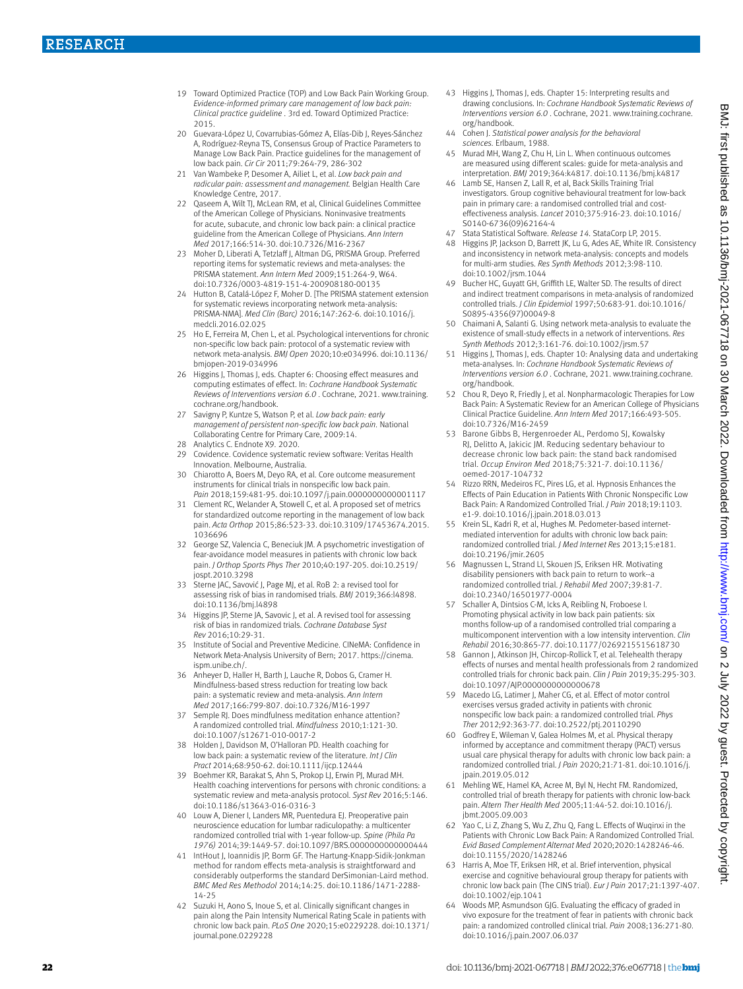- 19 Toward Optimized Practice (TOP) and Low Back Pain Working Group. *Evidence-informed primary care management of low back pain: Clinical practice guideline* . 3rd ed. Toward Optimized Practice: 2015.
- 20 Guevara-López U, Covarrubias-Gómez A, Elías-Dib J, Reyes-Sánchez A, Rodríguez-Reyna TS, Consensus Group of Practice Parameters to Manage Low Back Pain. Practice guidelines for the management of low back pain. *Cir Cir* 2011;79:264-79, 286-302
- 21 Van Wambeke P, Desomer A, Ailiet L, et al. *Low back pain and radicular pain: assessment and management.* Belgian Health Care Knowledge Centre, 2017.
- 22 Qaseem A, Wilt TJ, McLean RM, et al, Clinical Guidelines Committee of the American College of Physicians. Noninvasive treatments for acute, subacute, and chronic low back pain: a clinical practice guideline from the American College of Physicians. *Ann Intern Med* 2017;166:514-30. doi:10.7326/M16-2367
- 23 Moher D, Liberati A, Tetzlaff J, Altman DG, PRISMA Group. Preferred reporting items for systematic reviews and meta-analyses: the PRISMA statement. *Ann Intern Med* 2009;151:264-9, W64. doi:10.7326/0003-4819-151-4-200908180-00135
- 24 Hutton B, Catalá-López F, Moher D. [The PRISMA statement extension for systematic reviews incorporating network meta-analysis: PRISMA-NMA]. *Med Clin (Barc)* 2016;147:262-6. doi:10.1016/j. medcli.2016.02.025
- 25 Ho E, Ferreira M, Chen L, et al. Psychological interventions for chronic non-specific low back pain: protocol of a systematic review with network meta-analysis. *BMJ Open* 2020;10:e034996. doi:10.1136/ bmjopen-2019-034996
- 26 Higgins J, Thomas J, eds. Chapter 6: Choosing effect measures and computing estimates of effect. In: *Cochrane Handbook Systematic Reviews of Interventions version 6.0* . Cochrane, 2021. [www.training.](http://www.training.cochrane.org/handbook) [cochrane.org/handbook.](http://www.training.cochrane.org/handbook)
- 27 Savigny P, Kuntze S, Watson P, et al. *Low back pain: early management of persistent non-specific low back pain.* National Collaborating Centre for Primary Care, 2009:14.
- 28 Analytics C. Endnote X9. 2020.<br>29 Covidence. Covidence systema
- Covidence. Covidence systematic review software: Veritas Health Innovation. Melbourne, Australia.
- 30 Chiarotto A, Boers M, Deyo RA, et al. Core outcome measurement instruments for clinical trials in nonspecific low back pain. *Pain* 2018;159:481-95. doi:10.1097/j.pain.0000000000001117
- 31 Clement RC, Welander A, Stowell C, et al. A proposed set of metrics for standardized outcome reporting in the management of low back pain. *Acta Orthop* 2015;86:523-33. doi:10.3109/17453674.2015. 1036696
- 32 George SZ, Valencia C, Beneciuk JM. A psychometric investigation of fear-avoidance model measures in patients with chronic low back pain. *J Orthop Sports Phys Ther* 2010;40:197-205. doi:10.2519/ jospt.2010.3298
- 33 Sterne JAC, Savović J, Page MJ, et al. RoB 2: a revised tool for assessing risk of bias in randomised trials. *BMJ* 2019;366:l4898. doi:10.1136/bmj.l4898
- 34 Higgins JP, Sterne JA, Savovic J, et al. A revised tool for assessing risk of bias in randomized trials. *Cochrane Database Syst Rev* 2016;10:29-31.
- 35 Institute of Social and Preventive Medicine. CINeMA: Confidence in Network Meta-Analysis University of Bern; 2017. [https://cinema.](https://cinema.ispm.unibe.ch/) [ispm.unibe.ch/](https://cinema.ispm.unibe.ch/).
- 36 Anheyer D, Haller H, Barth J, Lauche R, Dobos G, Cramer H. Mindfulness-based stress reduction for treating low back pain: a systematic review and meta-analysis. *Ann Intern Med* 2017;166:799-807. doi:10.7326/M16-1997
- 37 Semple RJ. Does mindfulness meditation enhance attention? A randomized controlled trial. *Mindfulness* 2010;1:121-30. doi:10.1007/s12671-010-0017-2
- Holden J, Davidson M, O'Halloran PD. Health coaching for low back pain: a systematic review of the literature. *Int J Clin Pract* 2014;68:950-62. doi:10.1111/ijcp.12444
- Boehmer KR, Barakat S, Ahn S, Prokop LJ, Erwin PJ, Murad MH. Health coaching interventions for persons with chronic conditions: a systematic review and meta-analysis protocol. *Syst Rev* 2016;5:146. doi:10.1186/s13643-016-0316-3
- 40 Louw A, Diener I, Landers MR, Puentedura EJ. Preoperative pain neuroscience education for lumbar radiculopathy: a multicenter randomized controlled trial with 1-year follow-up. *Spine (Phila Pa 1976)* 2014;39:1449-57. doi:10.1097/BRS.0000000000000444
- 41 IntHout J, Ioannidis JP, Borm GF. The Hartung-Knapp-Sidik-Jonkman method for random effects meta-analysis is straightforward and considerably outperforms the standard DerSimonian-Laird method. *BMC Med Res Methodol* 2014;14:25. doi:10.1186/1471-2288- 14-25
- 42 Suzuki H, Aono S, Inoue S, et al. Clinically significant changes in pain along the Pain Intensity Numerical Rating Scale in patients with chronic low back pain. *PLoS One* 2020;15:e0229228. doi:10.1371/ journal.pone.0229228
- 43 Higgins J, Thomas J, eds. Chapter 15: Interpreting results and drawing conclusions. In: *Cochrane Handbook Systematic Reviews of Interventions version 6.0.* Cochrane, 2021, [www.training.cochrane.](http://www.training.cochrane.org/handbook) [org/handbook.](http://www.training.cochrane.org/handbook)
- 44 Cohen J. *Statistical power analysis for the behavioral sciences.* Erlbaum, 1988.
- 45 Murad MH, Wang Z, Chu H, Lin L. When continuous outcomes are measured using different scales: guide for meta-analysis and interpretation. *BMJ* 2019;364:k4817. doi:10.1136/bmj.k4817
- Lamb SE, Hansen Z, Lall R, et al, Back Skills Training Trial investigators. Group cognitive behavioural treatment for low-back pain in primary care: a randomised controlled trial and costeffectiveness analysis. *Lancet* 2010;375:916-23. doi:10.1016/ S0140-6736(09)62164-4
- 47 Stata Statistical Software. *Release 14.* StataCorp LP, 2015.
- 48 Higgins JP, Jackson D, Barrett JK, Lu G, Ades AE, White IR. Consistency and inconsistency in network meta-analysis: concepts and models for multi-arm studies. *Res Synth Methods* 2012;3:98-110. doi:10.1002/jrsm.1044
- 49 Bucher HC, Guyatt GH, Griffith LE, Walter SD. The results of direct and indirect treatment comparisons in meta-analysis of randomized controlled trials. *J Clin Epidemiol* 1997;50:683-91. doi:10.1016/ S0895-4356(97)00049-8
- 50 Chaimani A, Salanti G. Using network meta-analysis to evaluate the existence of small-study effects in a network of interventions. *Res Synth Methods* 2012;3:161-76. doi:10.1002/jrsm.57
- 51 Higgins J, Thomas J, eds. Chapter 10: Analysing data and undertaking meta-analyses. In: *Cochrane Handbook Systematic Reviews of Interventions version 6.0* . Cochrane, 2021. [www.training.cochrane.](http://www.training.cochrane.org/handbook) [org/handbook.](http://www.training.cochrane.org/handbook)
- 52 Chou R, Deyo R, Friedly J, et al. Nonpharmacologic Therapies for Low Back Pain: A Systematic Review for an American College of Physicians Clinical Practice Guideline. *Ann Intern Med* 2017;166:493-505. doi:10.7326/M16-2459
- 53 Barone Gibbs B, Hergenroeder AL, Perdomo SJ, Kowalsky RJ, Delitto A, Jakicic JM. Reducing sedentary behaviour to decrease chronic low back pain: the stand back randomised trial. *Occup Environ Med* 2018;75:321-7. doi:10.1136/ oemed-2017-104732
- 54 Rizzo RRN, Medeiros FC, Pires LG, et al. Hypnosis Enhances the Effects of Pain Education in Patients With Chronic Nonspecific Low Back Pain: A Randomized Controlled Trial. *J Pain* 2018;19:1103. e1-9. doi:10.1016/j.jpain.2018.03.013
- 55 Krein SL, Kadri R, et al, Hughes M. Pedometer-based internetmediated intervention for adults with chronic low back pain: randomized controlled trial. *J Med Internet Res* 2013;15:e181. doi:10.2196/jmir.2605
- 56 Magnussen L, Strand LI, Skouen JS, Eriksen HR. Motivating disability pensioners with back pain to return to work--a randomized controlled trial. *J Rehabil Med* 2007;39:81-7. doi:10.2340/16501977-0004
- 57 Schaller A, Dintsios C-M, Icks A, Reibling N, Froboese I. Promoting physical activity in low back pain patients: six months follow-up of a randomised controlled trial comparing a multicomponent intervention with a low intensity intervention. *Clin Rehabil* 2016;30:865-77. doi:10.1177/0269215515618730
- 58 Gannon J, Atkinson JH, Chircop-Rollick T, et al. Telehealth therapy effects of nurses and mental health professionals from 2 randomized controlled trials for chronic back pain. *Clin J Pain* 2019;35:295-303. doi:10.1097/AJP.0000000000000678
- 59 Macedo LG, Latimer J, Maher CG, et al. Effect of motor control exercises versus graded activity in patients with chronic nonspecific low back pain: a randomized controlled trial. *Phys Ther* 2012;92:363-77. doi:10.2522/ptj.20110290
- 60 Godfrey E, Wileman V, Galea Holmes M, et al. Physical therapy informed by acceptance and commitment therapy (PACT) versus usual care physical therapy for adults with chronic low back pain: a randomized controlled trial. *J Pain* 2020;21:71-81. doi:10.1016/j. jpain.2019.05.012
- 61 Mehling WE, Hamel KA, Acree M, Byl N, Hecht FM. Randomized, controlled trial of breath therapy for patients with chronic low-back pain. *Altern Ther Health Med* 2005;11:44-52. doi:10.1016/j. jbmt.2005.09.003
- 62 Yao C, Li Z, Zhang S, Wu Z, Zhu Q, Fang L. Effects of Wuqinxi in the Patients with Chronic Low Back Pain: A Randomized Controlled Trial. *Evid Based Complement Alternat Med* 2020;2020:1428246-46. doi:10.1155/2020/1428246
- 63 Harris A, Moe TF, Eriksen HR, et al. Brief intervention, physical exercise and cognitive behavioural group therapy for patients with chronic low back pain (The CINS trial). *Eur J Pain* 2017;21:1397-407. doi:10.1002/ejp.1041
- Woods MP, Asmundson GJG. Evaluating the efficacy of graded in vivo exposure for the treatment of fear in patients with chronic back pain: a randomized controlled clinical trial. *Pain* 2008;136:271-80. doi:10.1016/j.pain.2007.06.037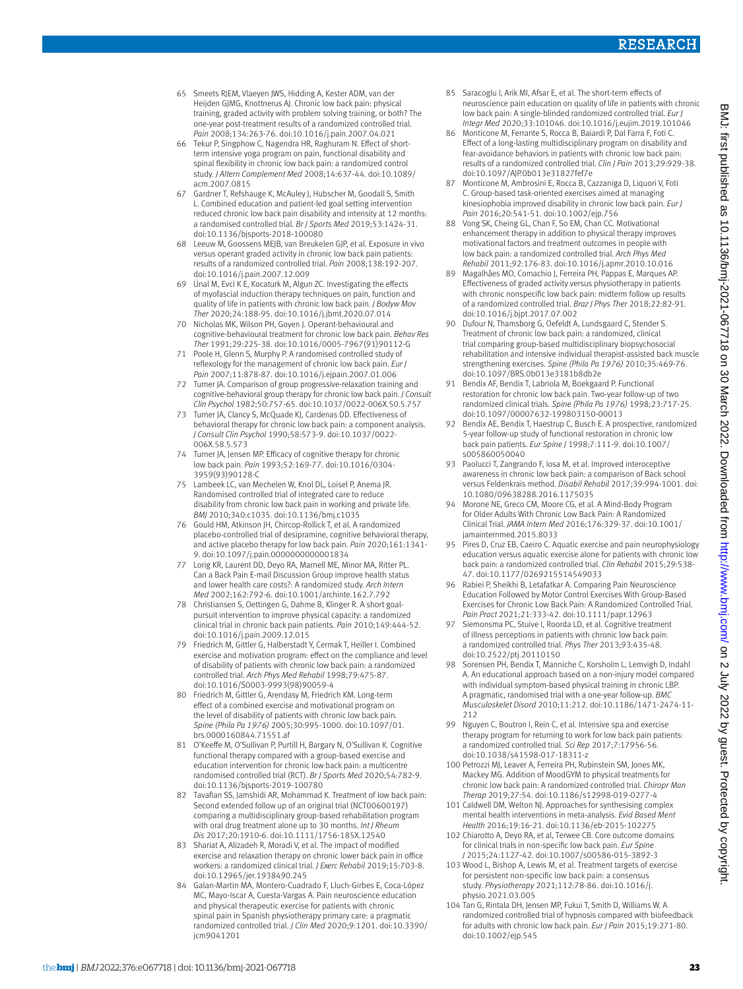- 65 Smeets RJEM, Vlaeyen JWS, Hidding A, Kester ADM, van der Heijden GJMG, Knottnerus AL Chronic low back pain: physical training, graded activity with problem solving training, or both? The one-year post-treatment results of a randomized controlled trial. *Pain* 2008;134:263-76. doi:10.1016/j.pain.2007.04.021
- 66 Tekur P, Singphow C, Nagendra HR, Raghuram N. Effect of shortterm intensive yoga program on pain, functional disability and spinal flexibility in chronic low back pain: a randomized control study. *J Altern Complement Med* 2008;14:637-44. doi:10.1089/ acm.2007.0815
- Gardner T, Refshauge K, McAuley J, Hübscher M, Goodall S, Smith L. Combined education and patient-led goal setting intervention reduced chronic low back pain disability and intensity at 12 months: a randomised controlled trial. *Br J Sports Med* 2019;53:1424-31. doi:10.1136/bjsports-2018-100080
- 68 Leeuw M, Goossens MEJB, van Breukelen GJP, et al. Exposure in vivo versus operant graded activity in chronic low back pain patients: results of a randomized controlled trial. *Pain* 2008;138:192-207. doi:10.1016/j.pain.2007.12.009
- Ünal M, Evci K E, Kocatürk M, Algun ZC. Investigating the effects of myofascial induction therapy techniques on pain, function and quality of life in patients with chronic low back pain. *J Bodyw Mov Ther* 2020;24:188-95. doi:10.1016/j.jbmt.2020.07.014
- 70 Nicholas MK, Wilson PH, Goyen J. Operant-behavioural and cognitive-behavioural treatment for chronic low back pain. *Behav Res Ther* 1991;29:225-38. doi:10.1016/0005-7967(91)90112-G
- 71 Poole H, Glenn S, Murphy P. A randomised controlled study of reflexology for the management of chronic low back pain. *Eur J Pain* 2007;11:878-87. doi:10.1016/j.ejpain.2007.01.006
- 72 Turner JA. Comparison of group progressive-relaxation training and cognitive-behavioral group therapy for chronic low back pain. *J Consult Clin Psychol* 1982;50:757-65. doi:10.1037/0022-006X.50.5.757
- 73 Turner JA, Clancy S, McQuade KJ, Cardenas DD. Effectiveness of behavioral therapy for chronic low back pain: a component analysis. *J Consult Clin Psychol* 1990;58:573-9. doi:10.1037/0022- 006X.58.5.573
- Turner JA, Jensen MP. Efficacy of cognitive therapy for chronic low back pain. *Pain* 1993;52:169-77. doi:10.1016/0304- 3959(93)90128-C
- Lambeek LC, van Mechelen W, Knol DL, Loisel P, Anema JR. Randomised controlled trial of integrated care to reduce disability from chronic low back pain in working and private life. *BMJ* 2010;340:c1035. doi:10.1136/bmj.c1035
- 76 Gould HM, Atkinson JH, Chircop-Rollick T, et al. A randomized placebo-controlled trial of desipramine, cognitive behavioral therapy, and active placebo therapy for low back pain. *Pain* 2020;161:1341- 9. doi:10.1097/j.pain.0000000000001834
- Lorig KR, Laurent DD, Deyo RA, Marnell ME, Minor MA, Ritter PL. Can a Back Pain E-mail Discussion Group improve health status and lower health care costs?: A randomized study. *Arch Intern Med* 2002;162:792-6. doi:10.1001/archinte.162.7.792
- 78 Christiansen S, Oettingen G, Dahme B, Klinger R. A short goalpursuit intervention to improve physical capacity: a randomized clinical trial in chronic back pain patients. *Pain* 2010;149:444-52. doi:10.1016/j.pain.2009.12.015
- 79 Friedrich M, Gittler G, Halberstadt Y, Cermak T, Heiller I. Combined exercise and motivation program: effect on the compliance and level of disability of patients with chronic low back pain: a randomized controlled trial. *Arch Phys Med Rehabil* 1998;79:475-87. doi:10.1016/S0003-9993(98)90059-4
- Friedrich M, Gittler G, Arendasy M, Friedrich KM. Long-term effect of a combined exercise and motivational program on the level of disability of patients with chronic low back pain. *Spine (Phila Pa 1976)* 2005;30:995-1000. doi:10.1097/01. brs.0000160844.71551.af
- 81 O'Keeffe M, O'Sullivan P, Purtill H, Bargary N, O'Sullivan K. Cognitive functional therapy compared with a group-based exercise and education intervention for chronic low back pain: a multicentre randomised controlled trial (RCT). *Br J Sports Med* 2020;54:782-9. doi:10.1136/bjsports-2019-100780
- 82 Tavafian SS, Jamshidi AR, Mohammad K. Treatment of low back pain: Second extended follow up of an original trial (NCT00600197) comparing a multidisciplinary group-based rehabilitation program with oral drug treatment alone up to 30 months. *Int J Rheum Dis* 2017;20:1910-6. doi:10.1111/1756-185X.12540
- 83 Shariat A, Alizadeh R, Moradi V, et al. The impact of modified exercise and relaxation therapy on chronic lower back pain in office workers: a randomized clinical trial. *J Exerc Rehabil* 2019;15:703-8. doi:10.12965/jer.1938490.245
- Galan-Martin MA, Montero-Cuadrado F, Lluch-Girbes E, Coca-López MC, Mayo-Iscar A, Cuesta-Vargas A. Pain neuroscience education and physical therapeutic exercise for patients with chronic spinal pain in Spanish physiotherapy primary care: a pragmatic randomized controlled trial. *J Clin Med* 2020;9:1201. doi:10.3390/ jcm9041201
- 85 Saracoglu I, Arik MI, Afsar E, et al. The short-term effects of neuroscience pain education on quality of life in patients with chronic low back pain: A single-blinded randomized controlled trial. *Fur Integr Med* 2020;33:101046. doi:10.1016/j.eujim.2019.101046
- 86 Monticone M, Ferrante S, Rocca B, Baiardi P, Dal Farra F, Foti C. Effect of a long-lasting multidisciplinary program on disability and fear-avoidance behaviors in patients with chronic low back pain: results of a randomized controlled trial. *Clin J Pain* 2013;29:929-38. doi:10.1097/AJP.0b013e31827fef7e
- 87 Monticone M, Ambrosini E, Rocca B, Cazzaniga D, Liquori V, Foti C. Group-based task-oriented exercises aimed at managing kinesiophobia improved disability in chronic low back pain. *Eur J Pain* 2016;20:541-51. doi:10.1002/ejp.756
- Vong SK, Cheing GL, Chan F, So EM, Chan CC. Motivational enhancement therapy in addition to physical therapy improves motivational factors and treatment outcomes in people with low back pain: a randomized controlled trial. *Arch Phys Med Rehabil* 2011;92:176-83. doi:10.1016/j.apmr.2010.10.016
- 89 Magalhães MO, Comachio J, Ferreira PH, Pappas E, Marques AP. Effectiveness of graded activity versus physiotherapy in patients with chronic nonspecific low back pain: midterm follow up results of a randomized controlled trial. *Braz J Phys Ther* 2018;22:82-91. doi:10.1016/j.bjpt.2017.07.002
- 90 Dufour N, Thamsborg G, Oefeldt A, Lundsgaard C, Stender S. Treatment of chronic low back pain: a randomized, clinical trial comparing group-based multidisciplinary biopsychosocial rehabilitation and intensive individual therapist-assisted back muscle strengthening exercises. *Spine (Phila Pa 1976)* 2010;35:469-76. doi:10.1097/BRS.0b013e3181b8db2e
- 91 Bendix AF, Bendix T, Labriola M, Boekgaard P. Functional restoration for chronic low back pain. Two-year follow-up of two randomized clinical trials. *Spine (Phila Pa 1976)* 1998;23:717-25. doi:10.1097/00007632-199803150-00013
- 92 Bendix AE, Bendix T, Haestrup C, Busch E. A prospective, randomized 5-year follow-up study of functional restoration in chronic low back pain patients. *Eur Spine J* 1998;7:111-9. doi:10.1007/ s005860050040
- 93 Paolucci T, Zangrando F, Iosa M, et al. Improved interoceptive awareness in chronic low back pain: a comparison of Back school versus Feldenkrais method. *Disabil Rehabil* 2017;39:994-1001. doi: 10.1080/09638288.2016.1175035
- 94 Morone NE, Greco CM, Moore CG, et al. A Mind-Body Program for Older Adults With Chronic Low Back Pain: A Randomized Clinical Trial. *JAMA Intern Med* 2016;176:329-37. doi:10.1001/ jamainternmed.2015.8033
- 95 Pires D, Cruz EB, Caeiro C. Aquatic exercise and pain neurophysiology education versus aquatic exercise alone for patients with chronic low back pain: a randomized controlled trial. *Clin Rehabil* 2015;29:538- 47. doi:10.1177/0269215514549033
- 96 Rabiei P, Sheikhi B, Letafatkar A. Comparing Pain Neuroscience Education Followed by Motor Control Exercises With Group-Based Exercises for Chronic Low Back Pain: A Randomized Controlled Trial. *Pain Pract* 2021;21:333-42. doi:10.1111/papr.12963
- 97 Siemonsma PC, Stuive I, Roorda LD, et al. Cognitive treatment of illness perceptions in patients with chronic low back pain: a randomized controlled trial. *Phys Ther* 2013;93:435-48. doi:10.2522/ptj.20110150
- 98 Sorensen PH, Bendix T, Manniche C, Korsholm L, Lemvigh D, Indahl A. An educational approach based on a non-injury model compared with individual symptom-based physical training in chronic LBP. A pragmatic, randomised trial with a one-year follow-up. *BMC Musculoskelet Disord* 2010;11:212. doi:10.1186/1471-2474-11- 212
- 99 Nguyen C, Boutron I, Rein C, et al. Intensive spa and exercise therapy program for returning to work for low back pain patients: a randomized controlled trial. *Sci Rep* 2017;7:17956-56. doi:10.1038/s41598-017-18311-z
- 100 Petrozzi MJ, Leaver A, Ferreira PH, Rubinstein SM, Jones MK, Mackey MG. Addition of MoodGYM to physical treatments for chronic low back pain: A randomized controlled trial. *Chiropr Man Therap* 2019;27:54. doi:10.1186/s12998-019-0277-4
- 101 Caldwell DM, Welton NJ. Approaches for synthesising complex mental health interventions in meta-analysis. *Evid Based Ment Health* 2016;19:16-21. doi:10.1136/eb-2015-102275
- 102 Chiarotto A, Deyo RA, et al, Terwee CB. Core outcome domains for clinical trials in non-specific low back pain. *Eur Spine J* 2015;24:1127-42. doi:10.1007/s00586-015-3892-3
- 103 Wood L, Bishop A, Lewis M, et al. Treatment targets of exercise for persistent non-specific low back pain: a consensus study. *Physiotherapy* 2021;112:78-86. doi:10.1016/j. physio.2021.03.005
- 104 Tan G, Rintala DH, Jensen MP, Fukui T, Smith D, Williams W. A randomized controlled trial of hypnosis compared with biofeedback for adults with chronic low back pain. *Eur J Pain* 2015;19:271-80. doi:10.1002/ejp.545